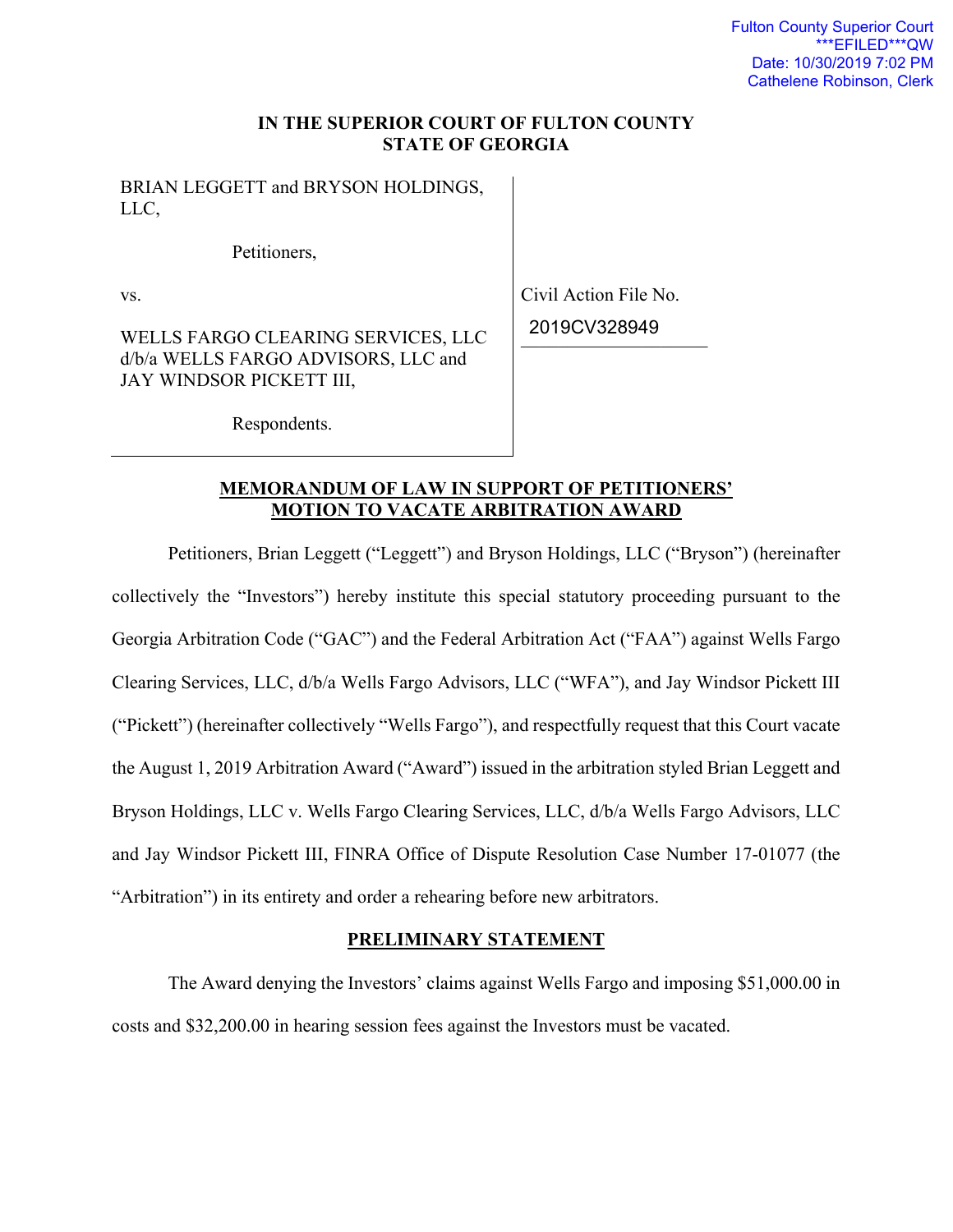### **IN THE SUPERIOR COURT OF FULTON COUNTY STATE OF GEORGIA**

BRIAN LEGGETT and BRYSON HOLDINGS, LLC,

Petitioners,

vs.

WELLS FARGO CLEARING SERVICES, LLC d/b/a WELLS FARGO ADVISORS, LLC and JAY WINDSOR PICKETT III,

Civil Action File No. \_\_\_\_\_\_\_\_\_\_\_\_\_\_\_\_\_\_\_\_ 2019CV328949

Respondents.

# **MEMORANDUM OF LAW IN SUPPORT OF PETITIONERS' MOTION TO VACATE ARBITRATION AWARD**

Petitioners, Brian Leggett ("Leggett") and Bryson Holdings, LLC ("Bryson") (hereinafter collectively the "Investors") hereby institute this special statutory proceeding pursuant to the Georgia Arbitration Code ("GAC") and the Federal Arbitration Act ("FAA") against Wells Fargo Clearing Services, LLC, d/b/a Wells Fargo Advisors, LLC ("WFA"), and Jay Windsor Pickett III ("Pickett") (hereinafter collectively "Wells Fargo"), and respectfully request that this Court vacate the August 1, 2019 Arbitration Award ("Award") issued in the arbitration styled Brian Leggett and Bryson Holdings, LLC v. Wells Fargo Clearing Services, LLC, d/b/a Wells Fargo Advisors, LLC and Jay Windsor Pickett III, FINRA Office of Dispute Resolution Case Number 17-01077 (the "Arbitration") in its entirety and order a rehearing before new arbitrators.

# **PRELIMINARY STATEMENT**

 The Award denying the Investors' claims against Wells Fargo and imposing \$51,000.00 in costs and \$32,200.00 in hearing session fees against the Investors must be vacated.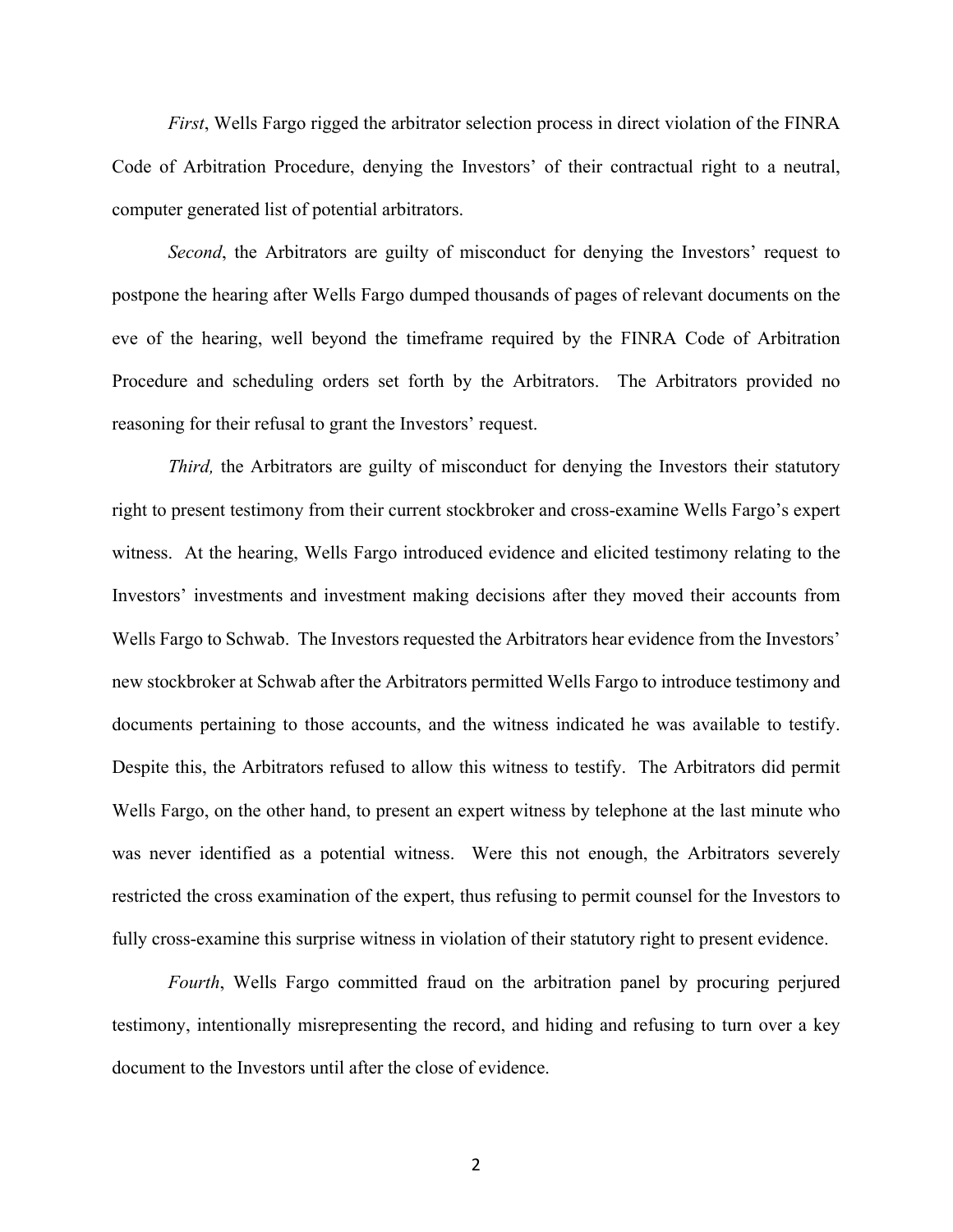*First*, Wells Fargo rigged the arbitrator selection process in direct violation of the FINRA Code of Arbitration Procedure, denying the Investors' of their contractual right to a neutral, computer generated list of potential arbitrators.

*Second*, the Arbitrators are guilty of misconduct for denying the Investors' request to postpone the hearing after Wells Fargo dumped thousands of pages of relevant documents on the eve of the hearing, well beyond the timeframe required by the FINRA Code of Arbitration Procedure and scheduling orders set forth by the Arbitrators. The Arbitrators provided no reasoning for their refusal to grant the Investors' request.

*Third*, the Arbitrators are guilty of misconduct for denying the Investors their statutory right to present testimony from their current stockbroker and cross-examine Wells Fargo's expert witness. At the hearing, Wells Fargo introduced evidence and elicited testimony relating to the Investors' investments and investment making decisions after they moved their accounts from Wells Fargo to Schwab. The Investors requested the Arbitrators hear evidence from the Investors' new stockbroker at Schwab after the Arbitrators permitted Wells Fargo to introduce testimony and documents pertaining to those accounts, and the witness indicated he was available to testify. Despite this, the Arbitrators refused to allow this witness to testify. The Arbitrators did permit Wells Fargo, on the other hand, to present an expert witness by telephone at the last minute who was never identified as a potential witness. Were this not enough, the Arbitrators severely restricted the cross examination of the expert, thus refusing to permit counsel for the Investors to fully cross-examine this surprise witness in violation of their statutory right to present evidence.

*Fourth*, Wells Fargo committed fraud on the arbitration panel by procuring perjured testimony, intentionally misrepresenting the record, and hiding and refusing to turn over a key document to the Investors until after the close of evidence.

2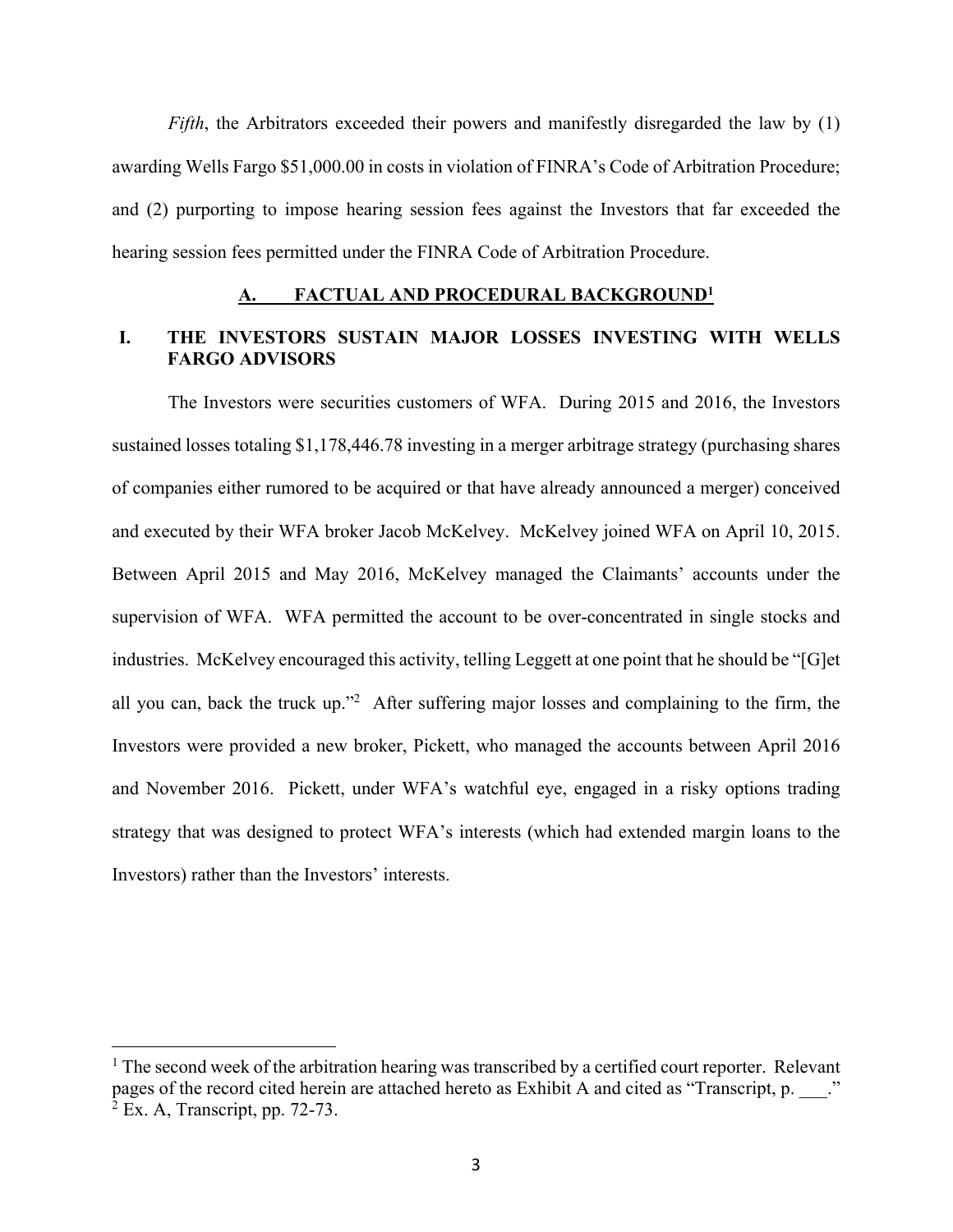*Fifth*, the Arbitrators exceeded their powers and manifestly disregarded the law by (1) awarding Wells Fargo \$51,000.00 in costs in violation of FINRA's Code of Arbitration Procedure; and (2) purporting to impose hearing session fees against the Investors that far exceeded the hearing session fees permitted under the FINRA Code of Arbitration Procedure.

### **A. FACTUAL AND PROCEDURAL BACKGROUND1**

# **I. THE INVESTORS SUSTAIN MAJOR LOSSES INVESTING WITH WELLS FARGO ADVISORS**

The Investors were securities customers of WFA. During 2015 and 2016, the Investors sustained losses totaling \$1,178,446.78 investing in a merger arbitrage strategy (purchasing shares of companies either rumored to be acquired or that have already announced a merger) conceived and executed by their WFA broker Jacob McKelvey. McKelvey joined WFA on April 10, 2015. Between April 2015 and May 2016, McKelvey managed the Claimants' accounts under the supervision of WFA.WFA permitted the account to be over-concentrated in single stocks and industries. McKelvey encouraged this activity, telling Leggett at one point that he should be "[G]et all you can, back the truck up."2 After suffering major losses and complaining to the firm, the Investors were provided a new broker, Pickett, who managed the accounts between April 2016 and November 2016. Pickett, under WFA's watchful eye, engaged in a risky options trading strategy that was designed to protect WFA's interests (which had extended margin loans to the Investors) rather than the Investors' interests.

 $<sup>1</sup>$  The second week of the arbitration hearing was transcribed by a certified court reporter. Relevant</sup> pages of the record cited herein are attached hereto as Exhibit A and cited as "Transcript, p.  $\cdots$ ."  $2$  Ex. A, Transcript, pp. 72-73.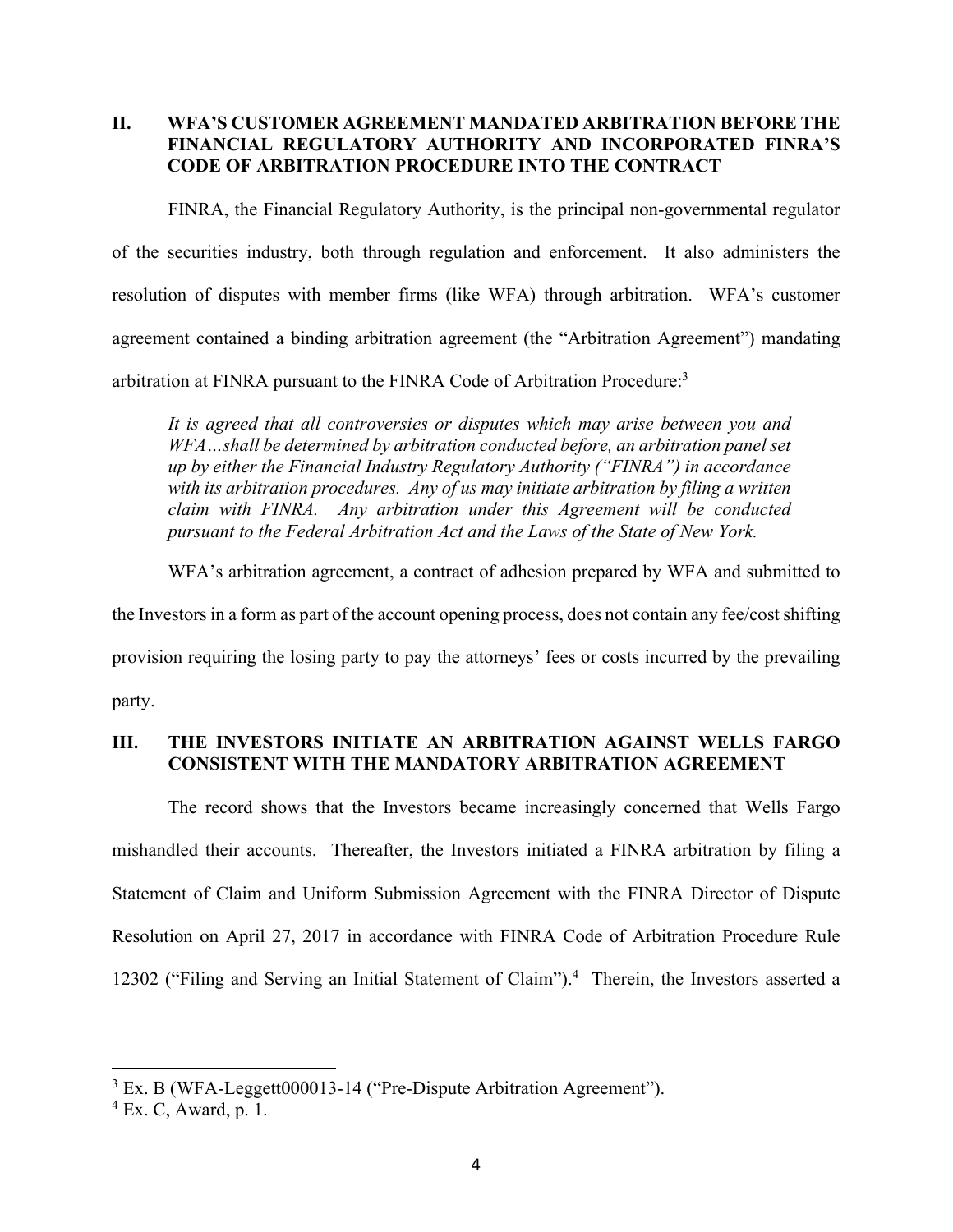### **II. WFA'S CUSTOMER AGREEMENT MANDATED ARBITRATION BEFORE THE FINANCIAL REGULATORY AUTHORITY AND INCORPORATED FINRA'S CODE OF ARBITRATION PROCEDURE INTO THE CONTRACT**

FINRA, the Financial Regulatory Authority, is the principal non-governmental regulator of the securities industry, both through regulation and enforcement. It also administers the resolution of disputes with member firms (like WFA) through arbitration. WFA's customer agreement contained a binding arbitration agreement (the "Arbitration Agreement") mandating arbitration at FINRA pursuant to the FINRA Code of Arbitration Procedure:3

*It is agreed that all controversies or disputes which may arise between you and WFA…shall be determined by arbitration conducted before, an arbitration panel set up by either the Financial Industry Regulatory Authority ("FINRA") in accordance with its arbitration procedures. Any of us may initiate arbitration by filing a written claim with FINRA. Any arbitration under this Agreement will be conducted pursuant to the Federal Arbitration Act and the Laws of the State of New York.* 

WFA's arbitration agreement, a contract of adhesion prepared by WFA and submitted to

the Investors in a form as part of the account opening process, does not contain any fee/cost shifting provision requiring the losing party to pay the attorneys' fees or costs incurred by the prevailing party.

### **III. THE INVESTORS INITIATE AN ARBITRATION AGAINST WELLS FARGO CONSISTENT WITH THE MANDATORY ARBITRATION AGREEMENT**

The record shows that the Investors became increasingly concerned that Wells Fargo mishandled their accounts. Thereafter, the Investors initiated a FINRA arbitration by filing a Statement of Claim and Uniform Submission Agreement with the FINRA Director of Dispute Resolution on April 27, 2017 in accordance with FINRA Code of Arbitration Procedure Rule 12302 ("Filing and Serving an Initial Statement of Claim").<sup>4</sup> Therein, the Investors asserted a

<sup>&</sup>lt;sup>3</sup> Ex. B (WFA-Leggett000013-14 ("Pre-Dispute Arbitration Agreement").

<sup>4</sup> Ex. C, Award, p. 1.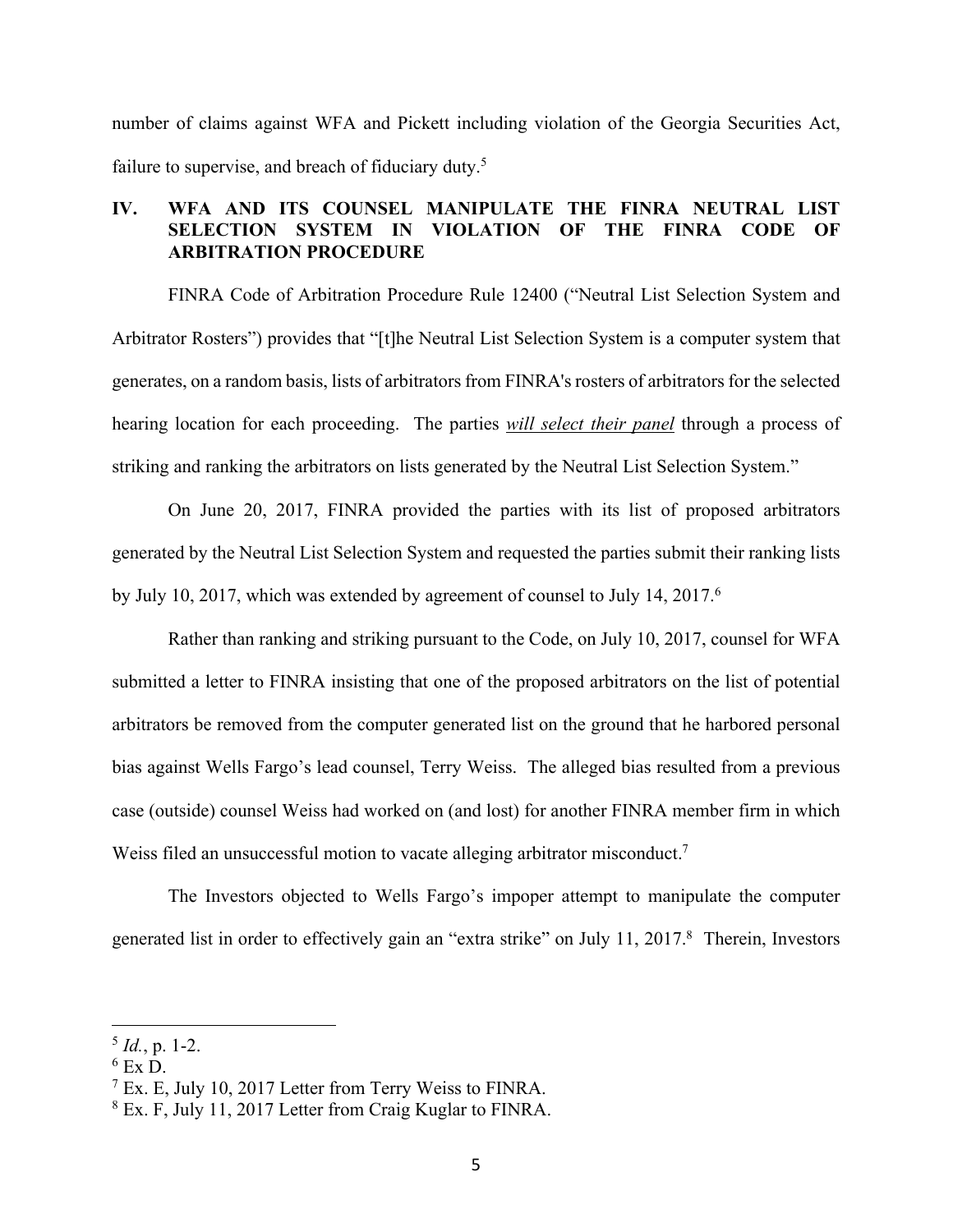number of claims against WFA and Pickett including violation of the Georgia Securities Act, failure to supervise, and breach of fiduciary duty.<sup>5</sup>

# **IV. WFA AND ITS COUNSEL MANIPULATE THE FINRA NEUTRAL LIST SELECTION SYSTEM IN VIOLATION OF THE FINRA CODE OF ARBITRATION PROCEDURE**

 FINRA Code of Arbitration Procedure Rule 12400 ("Neutral List Selection System and Arbitrator Rosters") provides that "[t]he Neutral List Selection System is a computer system that generates, on a random basis, lists of arbitrators from FINRA's rosters of arbitrators for the selected hearing location for each proceeding. The parties *will select their panel* through a process of striking and ranking the arbitrators on lists generated by the Neutral List Selection System."

 On June 20, 2017, FINRA provided the parties with its list of proposed arbitrators generated by the Neutral List Selection System and requested the parties submit their ranking lists by July 10, 2017, which was extended by agreement of counsel to July 14, 2017.<sup>6</sup>

Rather than ranking and striking pursuant to the Code, on July 10, 2017, counsel for WFA submitted a letter to FINRA insisting that one of the proposed arbitrators on the list of potential arbitrators be removed from the computer generated list on the ground that he harbored personal bias against Wells Fargo's lead counsel, Terry Weiss. The alleged bias resulted from a previous case (outside) counsel Weiss had worked on (and lost) for another FINRA member firm in which Weiss filed an unsuccessful motion to vacate alleging arbitrator misconduct.<sup>7</sup>

The Investors objected to Wells Fargo's impoper attempt to manipulate the computer generated list in order to effectively gain an "extra strike" on July 11, 2017.8 Therein, Investors

 $<sup>5</sup> Id., p. 1-2.$ </sup>

 $^6$  Ex D.

<sup>7</sup> Ex. E, July 10, 2017 Letter from Terry Weiss to FINRA.

<sup>8</sup> Ex. F, July 11, 2017 Letter from Craig Kuglar to FINRA.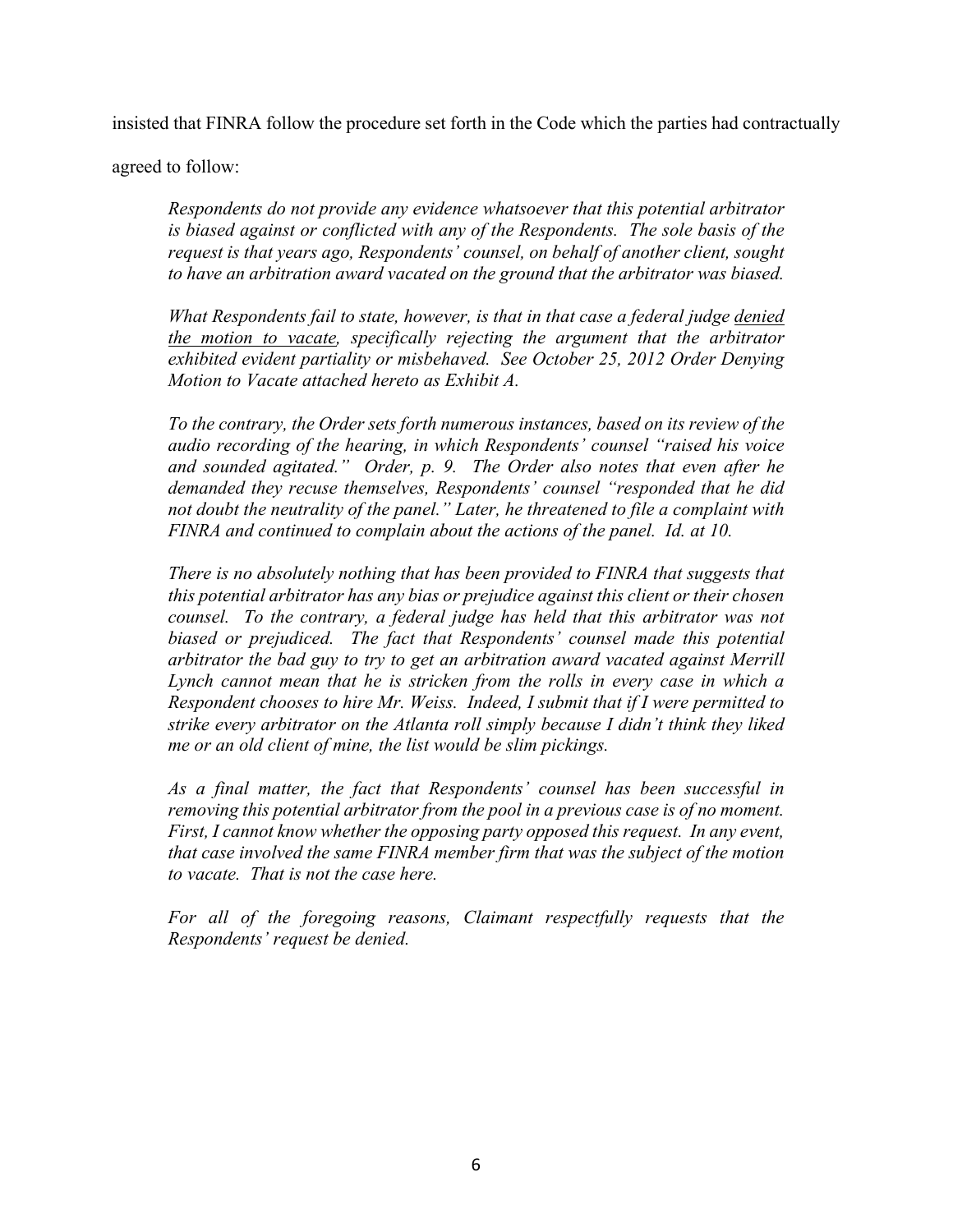insisted that FINRA follow the procedure set forth in the Code which the parties had contractually

agreed to follow:

*Respondents do not provide any evidence whatsoever that this potential arbitrator is biased against or conflicted with any of the Respondents. The sole basis of the request is that years ago, Respondents' counsel, on behalf of another client, sought to have an arbitration award vacated on the ground that the arbitrator was biased.* 

*What Respondents fail to state, however, is that in that case a federal judge denied the motion to vacate, specifically rejecting the argument that the arbitrator exhibited evident partiality or misbehaved. See October 25, 2012 Order Denying Motion to Vacate attached hereto as Exhibit A.* 

*To the contrary, the Order sets forth numerous instances, based on its review of the audio recording of the hearing, in which Respondents' counsel "raised his voice and sounded agitated." Order, p. 9. The Order also notes that even after he demanded they recuse themselves, Respondents' counsel "responded that he did not doubt the neutrality of the panel." Later, he threatened to file a complaint with FINRA and continued to complain about the actions of the panel. Id. at 10.* 

*There is no absolutely nothing that has been provided to FINRA that suggests that this potential arbitrator has any bias or prejudice against this client or their chosen counsel. To the contrary, a federal judge has held that this arbitrator was not*  biased or prejudiced. The fact that Respondents' counsel made this potential *arbitrator the bad guy to try to get an arbitration award vacated against Merrill Lynch cannot mean that he is stricken from the rolls in every case in which a Respondent chooses to hire Mr. Weiss. Indeed, I submit that if I were permitted to strike every arbitrator on the Atlanta roll simply because I didn't think they liked me or an old client of mine, the list would be slim pickings.* 

*As a final matter, the fact that Respondents' counsel has been successful in removing this potential arbitrator from the pool in a previous case is of no moment. First, I cannot know whether the opposing party opposed this request. In any event, that case involved the same FINRA member firm that was the subject of the motion to vacate. That is not the case here.* 

For all of the foregoing reasons, Claimant respectfully requests that the *Respondents' request be denied.*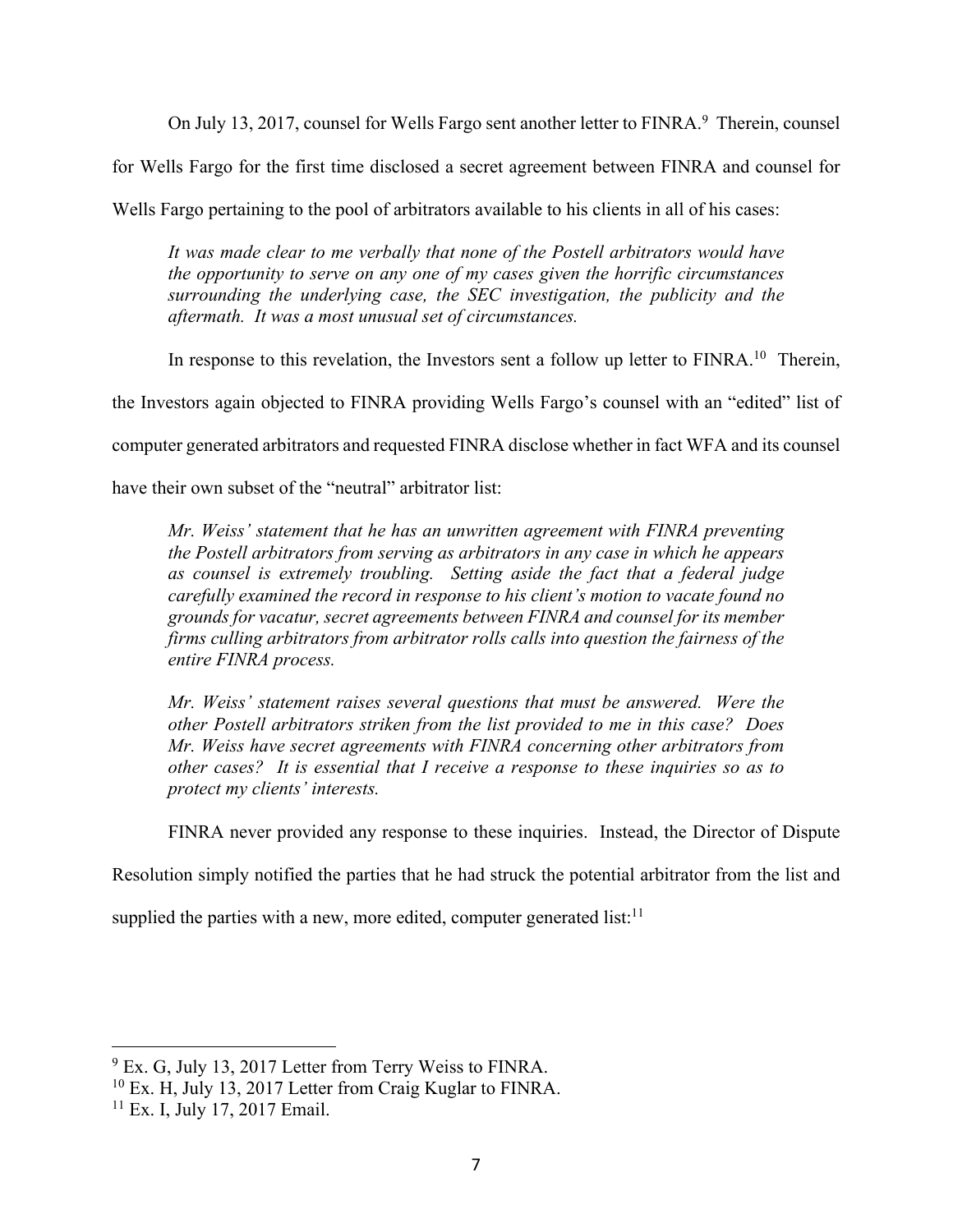On July 13, 2017, counsel for Wells Fargo sent another letter to FINRA.<sup>9</sup> Therein, counsel

for Wells Fargo for the first time disclosed a secret agreement between FINRA and counsel for

Wells Fargo pertaining to the pool of arbitrators available to his clients in all of his cases:

*It was made clear to me verbally that none of the Postell arbitrators would have the opportunity to serve on any one of my cases given the horrific circumstances surrounding the underlying case, the SEC investigation, the publicity and the aftermath. It was a most unusual set of circumstances.* 

In response to this revelation, the Investors sent a follow up letter to FINRA.<sup>10</sup> Therein,

the Investors again objected to FINRA providing Wells Fargo's counsel with an "edited" list of

computer generated arbitrators and requested FINRA disclose whether in fact WFA and its counsel

have their own subset of the "neutral" arbitrator list:

*Mr. Weiss' statement that he has an unwritten agreement with FINRA preventing the Postell arbitrators from serving as arbitrators in any case in which he appears as counsel is extremely troubling. Setting aside the fact that a federal judge carefully examined the record in response to his client's motion to vacate found no grounds for vacatur, secret agreements between FINRA and counsel for its member firms culling arbitrators from arbitrator rolls calls into question the fairness of the entire FINRA process.* 

*Mr. Weiss' statement raises several questions that must be answered. Were the other Postell arbitrators striken from the list provided to me in this case? Does Mr. Weiss have secret agreements with FINRA concerning other arbitrators from other cases? It is essential that I receive a response to these inquiries so as to protect my clients' interests.* 

FINRA never provided any response to these inquiries. Instead, the Director of Dispute

Resolution simply notified the parties that he had struck the potential arbitrator from the list and

supplied the parties with a new, more edited, computer generated list: $11$ 

<sup>&</sup>lt;sup>9</sup> Ex. G, July 13, 2017 Letter from Terry Weiss to FINRA.

<sup>10</sup> Ex. H, July 13, 2017 Letter from Craig Kuglar to FINRA.

<sup>11</sup> Ex. I, July 17, 2017 Email.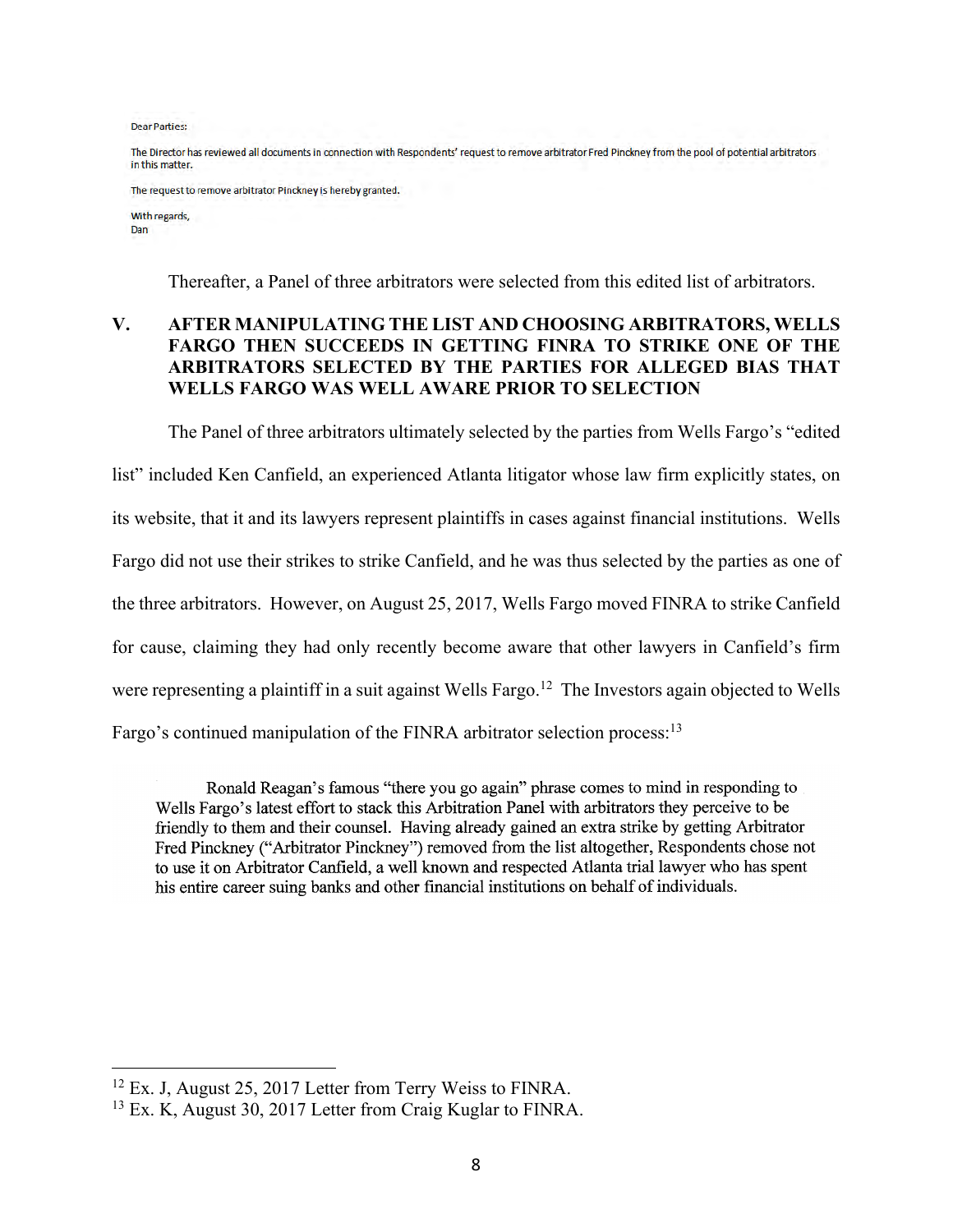**Dear Parties:** 

The Director has reviewed all documents in connection with Respondents' request to remove arbitrator Fred Pinckney from the pool of potential arbitrators in this matter.

The request to remove arbitrator Pinckney is hereby granted.

With regards, Dan

Thereafter, a Panel of three arbitrators were selected from this edited list of arbitrators.

# **V. AFTER MANIPULATING THE LIST AND CHOOSING ARBITRATORS, WELLS FARGO THEN SUCCEEDS IN GETTING FINRA TO STRIKE ONE OF THE ARBITRATORS SELECTED BY THE PARTIES FOR ALLEGED BIAS THAT WELLS FARGO WAS WELL AWARE PRIOR TO SELECTION**

 The Panel of three arbitrators ultimately selected by the parties from Wells Fargo's "edited list" included Ken Canfield, an experienced Atlanta litigator whose law firm explicitly states, on its website, that it and its lawyers represent plaintiffs in cases against financial institutions. Wells Fargo did not use their strikes to strike Canfield, and he was thus selected by the parties as one of the three arbitrators. However, on August 25, 2017, Wells Fargo moved FINRA to strike Canfield for cause, claiming they had only recently become aware that other lawyers in Canfield's firm were representing a plaintiff in a suit against Wells Fargo.<sup>12</sup> The Investors again objected to Wells Fargo's continued manipulation of the FINRA arbitrator selection process:<sup>13</sup>

Ronald Reagan's famous "there you go again" phrase comes to mind in responding to Wells Fargo's latest effort to stack this Arbitration Panel with arbitrators they perceive to be friendly to them and their counsel. Having already gained an extra strike by getting Arbitrator Fred Pinckney ("Arbitrator Pinckney") removed from the list altogether, Respondents chose not to use it on Arbitrator Canfield, a well known and respected Atlanta trial lawyer who has spent his entire career suing banks and other financial institutions on behalf of individuals.

<sup>&</sup>lt;sup>12</sup> Ex. J, August 25, 2017 Letter from Terry Weiss to FINRA.

<sup>13</sup> Ex. K, August 30, 2017 Letter from Craig Kuglar to FINRA.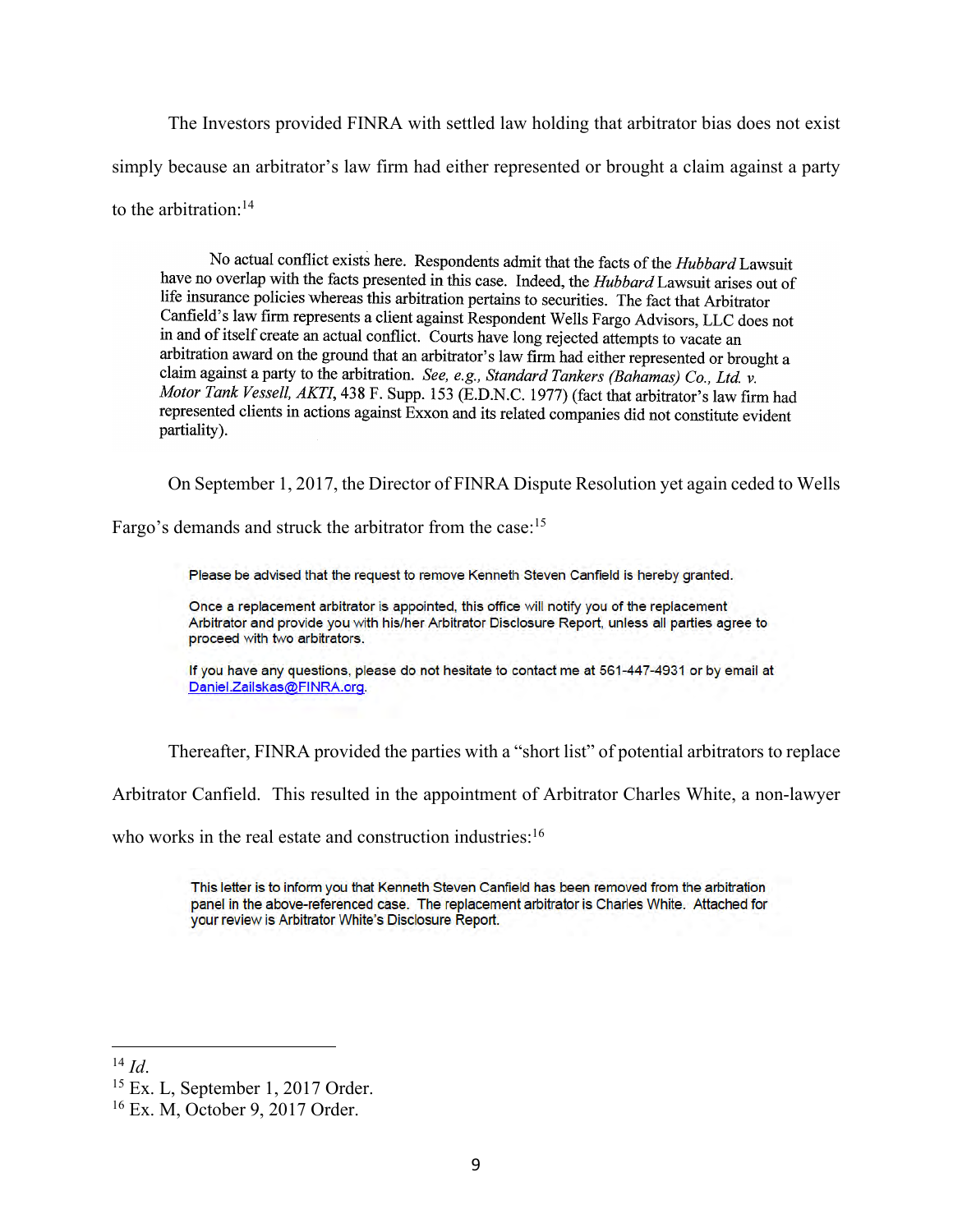The Investors provided FINRA with settled law holding that arbitrator bias does not exist simply because an arbitrator's law firm had either represented or brought a claim against a party to the arbitration:<sup>14</sup>

No actual conflict exists here. Respondents admit that the facts of the Hubbard Lawsuit have no overlap with the facts presented in this case. Indeed, the *Hubbard* Lawsuit arises out of life insurance policies whereas this arbitration pertains to securities. The fact that Arbitrator Canfield's law firm represents a client against Respondent Wells Fargo Advisors, LLC does not in and of itself create an actual conflict. Courts have long rejected attempts to vacate an arbitration award on the ground that an arbitrator's law firm had either represented or brought a claim against a party to the arbitration. See, e.g., Standard Tankers (Bahamas) Co., Ltd. v. Motor Tank Vessell, AKTI, 438 F. Supp. 153 (E.D.N.C. 1977) (fact that arbitrator's law firm had represented clients in actions against Exxon and its related companies did not constitute evident partiality).

On September 1, 2017, the Director of FINRA Dispute Resolution yet again ceded to Wells

Fargo's demands and struck the arbitrator from the case:<sup>15</sup>

Please be advised that the request to remove Kenneth Steven Canfield is hereby granted.

Once a replacement arbitrator is appointed, this office will notify you of the replacement Arbitrator and provide you with his/her Arbitrator Disclosure Report, unless all parties agree to proceed with two arbitrators.

If you have any questions, please do not hesitate to contact me at 561-447-4931 or by email at Daniel.Zailskas@FINRA.org.

Thereafter, FINRA provided the parties with a "short list" of potential arbitrators to replace

Arbitrator Canfield. This resulted in the appointment of Arbitrator Charles White, a non-lawyer

who works in the real estate and construction industries:<sup>16</sup>

This letter is to inform you that Kenneth Steven Canfield has been removed from the arbitration panel in the above-referenced case. The replacement arbitrator is Charles White. Attached for your review is Arbitrator White's Disclosure Report.

<sup>&</sup>lt;sup>14</sup> *Id.* 15 Ex. L, September 1, 2017 Order.

<sup>16</sup> Ex. M, October 9, 2017 Order.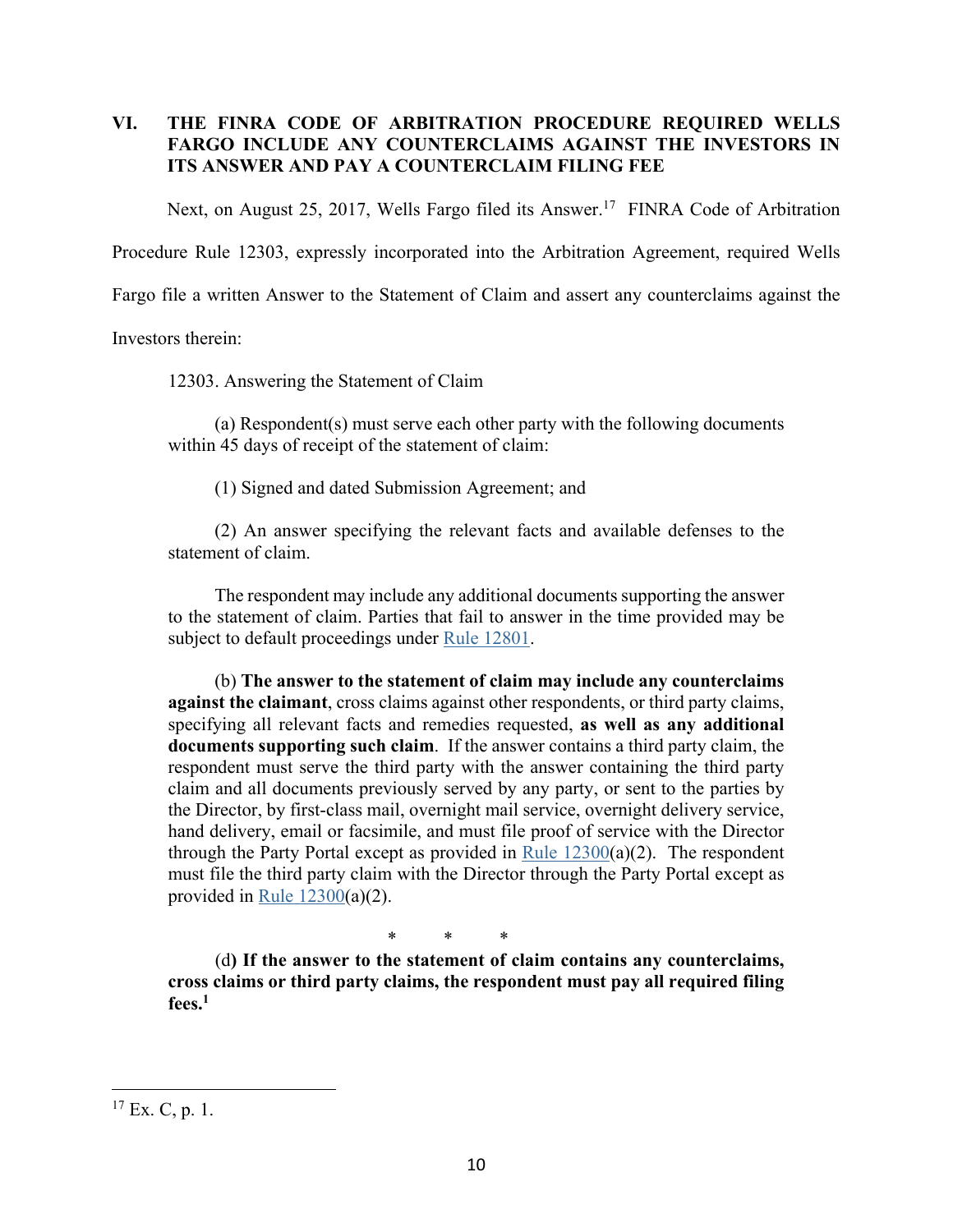# **VI. THE FINRA CODE OF ARBITRATION PROCEDURE REQUIRED WELLS FARGO INCLUDE ANY COUNTERCLAIMS AGAINST THE INVESTORS IN ITS ANSWER AND PAY A COUNTERCLAIM FILING FEE**

Next, on August 25, 2017, Wells Fargo filed its Answer.<sup>17</sup> FINRA Code of Arbitration

Procedure Rule 12303, expressly incorporated into the Arbitration Agreement, required Wells

Fargo file a written Answer to the Statement of Claim and assert any counterclaims against the

Investors therein:

12303. Answering the Statement of Claim

(a) Respondent(s) must serve each other party with the following documents within 45 days of receipt of the statement of claim:

(1) Signed and dated Submission Agreement; and

(2) An answer specifying the relevant facts and available defenses to the statement of claim.

The respondent may include any additional documents supporting the answer to the statement of claim. Parties that fail to answer in the time provided may be subject to default proceedings under Rule 12801.

(b) **The answer to the statement of claim may include any counterclaims against the claimant**, cross claims against other respondents, or third party claims, specifying all relevant facts and remedies requested, **as well as any additional documents supporting such claim**. If the answer contains a third party claim, the respondent must serve the third party with the answer containing the third party claim and all documents previously served by any party, or sent to the parties by the Director, by first-class mail, overnight mail service, overnight delivery service, hand delivery, email or facsimile, and must file proof of service with the Director through the Party Portal except as provided in Rule  $12300(a)(2)$ . The respondent must file the third party claim with the Director through the Party Portal except as provided in Rule  $12300(a)(2)$ .

\* \* \*

(d**) If the answer to the statement of claim contains any counterclaims, cross claims or third party claims, the respondent must pay all required filing fees.1**

 $17$  Ex. C, p. 1.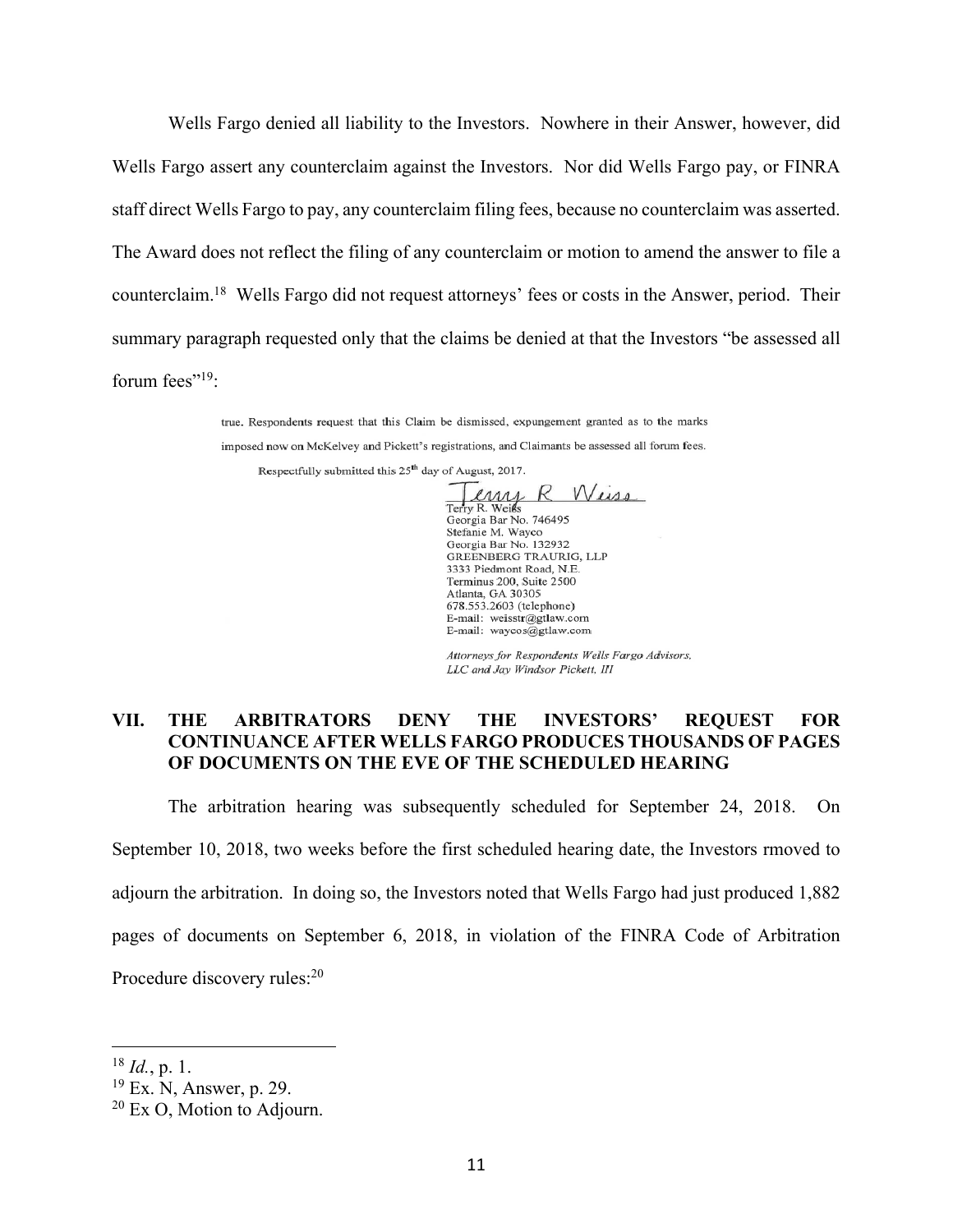Wells Fargo denied all liability to the Investors. Nowhere in their Answer, however, did Wells Fargo assert any counterclaim against the Investors. Nor did Wells Fargo pay, or FINRA staff direct Wells Fargo to pay, any counterclaim filing fees, because no counterclaim was asserted. The Award does not reflect the filing of any counterclaim or motion to amend the answer to file a counterclaim.18 Wells Fargo did not request attorneys' fees or costs in the Answer, period. Their summary paragraph requested only that the claims be denied at that the Investors "be assessed all forum fees"<sup>19</sup>:

> true. Respondents request that this Claim be dismissed, expungement granted as to the marks imposed now on McKelvey and Pickett's registrations, and Claimants be assessed all forum fees. Respectfully submitted this 25<sup>th</sup> day of August, 2017.

Weise emy К Terry R. Weiss Georgia Bar No. 746495<br>Stefanie M. Wayco Stefanie M. Wayco<br>Georgia Bar No. 132932<br>GREENBERG TRAURIG, LLP 3333 Piedmont Road, N.E. Terminus 200, Suite 2500 Atlanta, GA 30305 678.553.2603 (telephone) E-mail: weisstr@gtlaw.com<br>E-mail: waycos@gtlaw.com

Attorneys for Respondents Wells Fargo Advisors, LLC and Jay Windsor Pickett, III

### **VII. THE ARBITRATORS DENY THE INVESTORS' REQUEST FOR CONTINUANCE AFTER WELLS FARGO PRODUCES THOUSANDS OF PAGES OF DOCUMENTS ON THE EVE OF THE SCHEDULED HEARING**

The arbitration hearing was subsequently scheduled for September 24, 2018. On September 10, 2018, two weeks before the first scheduled hearing date, the Investors rmoved to adjourn the arbitration. In doing so, the Investors noted that Wells Fargo had just produced 1,882 pages of documents on September 6, 2018, in violation of the FINRA Code of Arbitration Procedure discovery rules:<sup>20</sup>

<sup>18</sup> *Id.*, p. 1.

<sup>19</sup> Ex. N, Answer, p. 29.

<sup>&</sup>lt;sup>20</sup> Ex O, Motion to Adjourn.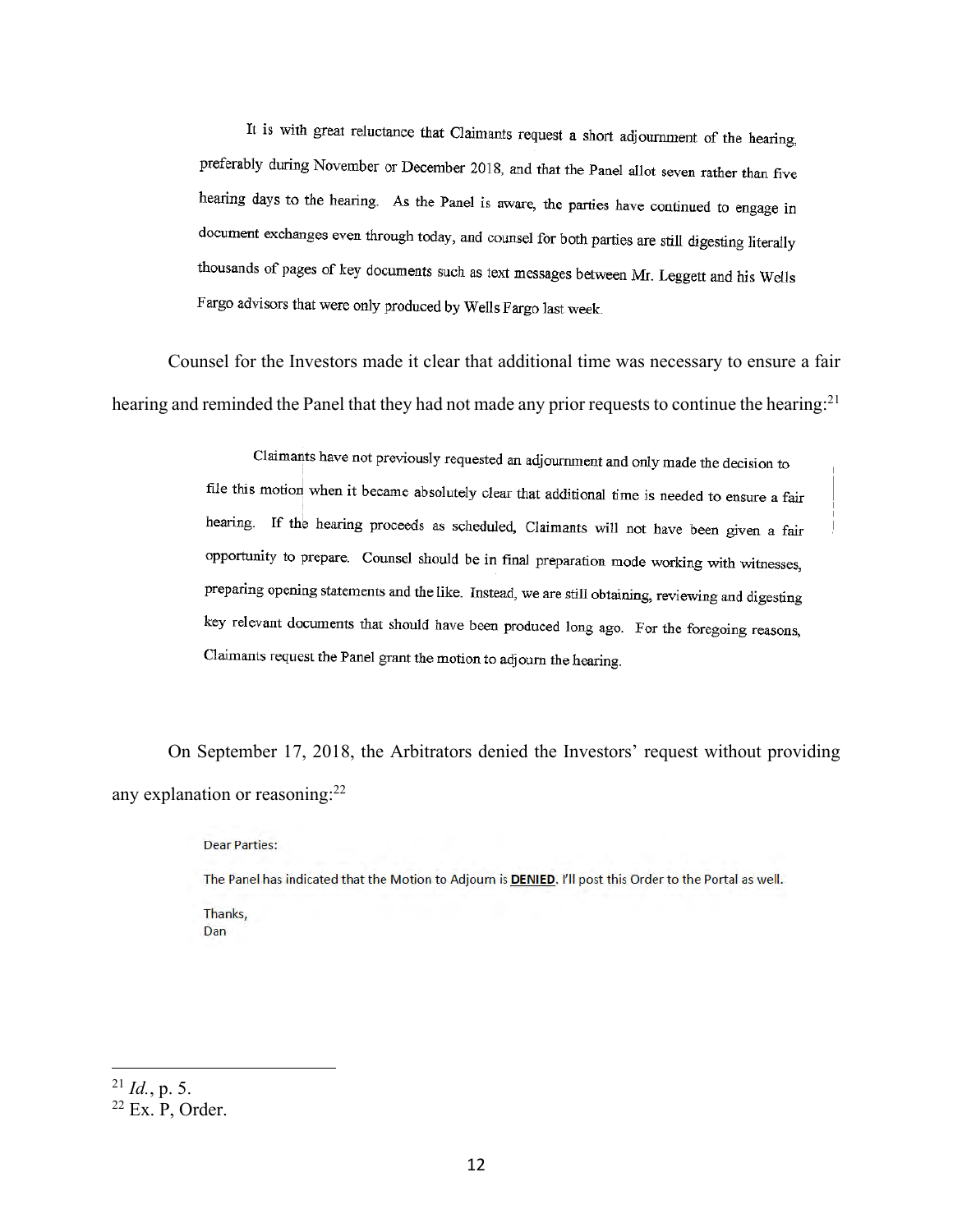It is with great reluctance that Claimants request a short adjournment of the hearing, preferably during November or December 2018, and that the Panel allot seven rather than five hearing days to the hearing. As the Panel is aware, the parties have continued to engage in document exchanges even through today, and counsel for both parties are still digesting literally thousands of pages of key documents such as text messages between Mr. Leggett and his Wells Fargo advisors that were only produced by Wells Fargo last week.

Counsel for the Investors made it clear that additional time was necessary to ensure a fair hearing and reminded the Panel that they had not made any prior requests to continue the hearing:<sup>21</sup>

> Claimants have not previously requested an adjournment and only made the decision to file this motion when it became absolutely clear that additional time is needed to ensure a fair hearing. If the hearing proceeds as scheduled, Claimants will not have been given a fair opportunity to prepare. Counsel should be in final preparation mode working with witnesses, preparing opening statements and the like. Instead, we are still obtaining, reviewing and digesting key relevant documents that should have been produced long ago. For the foregoing reasons, Claimants request the Panel grant the motion to adjourn the hearing.

On September 17, 2018, the Arbitrators denied the Investors' request without providing any explanation or reasoning:<sup>22</sup>

Dear Parties:

The Panel has indicated that the Motion to Adjourn is DENIED. I'll post this Order to the Portal as well. Thanks.

Dan

<sup>21</sup> *Id.*, p. 5.

 $22$  Ex. P, Order.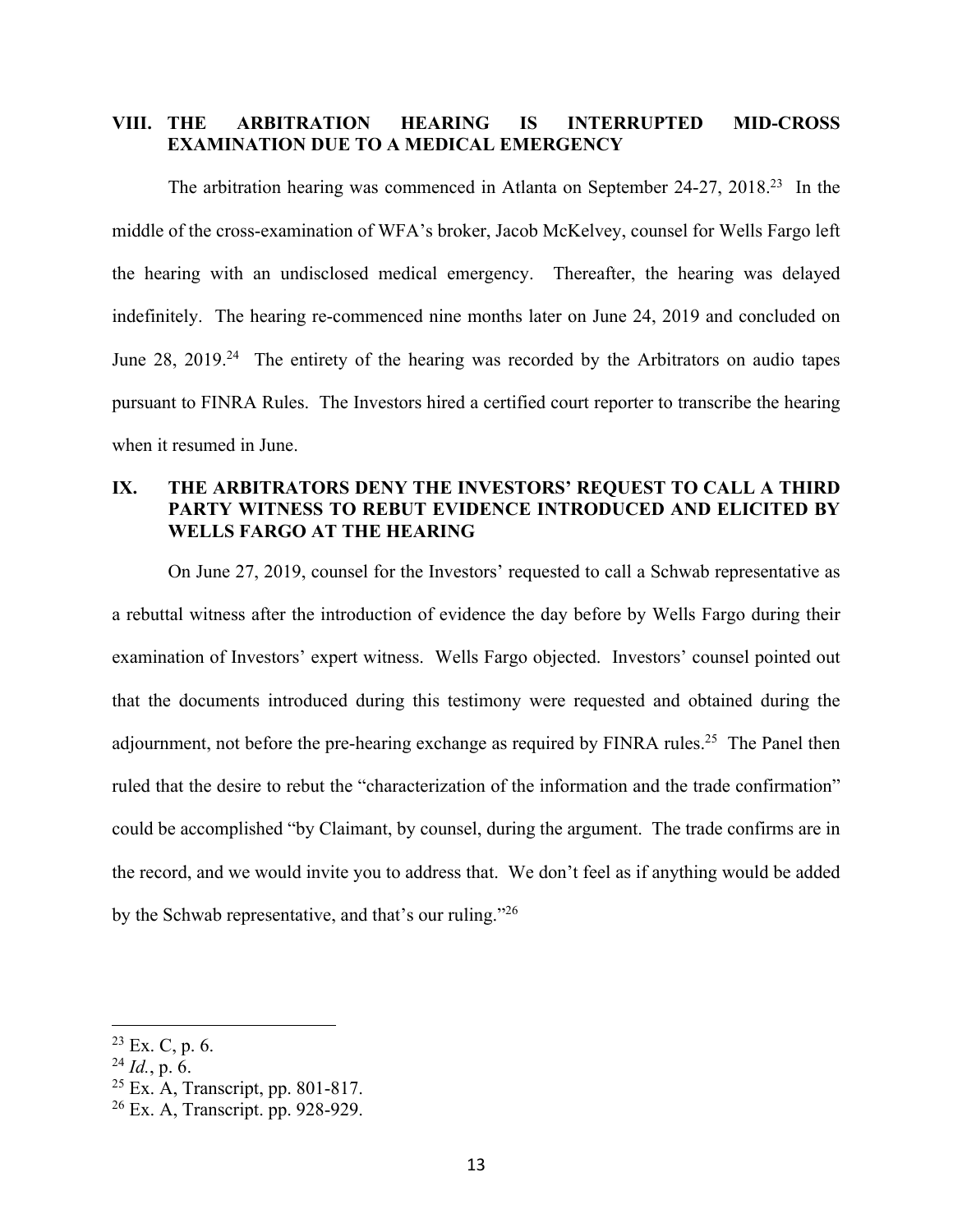### **VIII. THE ARBITRATION HEARING IS INTERRUPTED MID-CROSS EXAMINATION DUE TO A MEDICAL EMERGENCY**

The arbitration hearing was commenced in Atlanta on September 24-27, 2018<sup>23</sup> In the middle of the cross-examination of WFA's broker, Jacob McKelvey, counsel for Wells Fargo left the hearing with an undisclosed medical emergency. Thereafter, the hearing was delayed indefinitely. The hearing re-commenced nine months later on June 24, 2019 and concluded on June 28, 2019<sup>24</sup> The entirety of the hearing was recorded by the Arbitrators on audio tapes pursuant to FINRA Rules. The Investors hired a certified court reporter to transcribe the hearing when it resumed in June.

## **IX. THE ARBITRATORS DENY THE INVESTORS' REQUEST TO CALL A THIRD PARTY WITNESS TO REBUT EVIDENCE INTRODUCED AND ELICITED BY WELLS FARGO AT THE HEARING**

On June 27, 2019, counsel for the Investors' requested to call a Schwab representative as a rebuttal witness after the introduction of evidence the day before by Wells Fargo during their examination of Investors' expert witness. Wells Fargo objected. Investors' counsel pointed out that the documents introduced during this testimony were requested and obtained during the adjournment, not before the pre-hearing exchange as required by FINRA rules.<sup>25</sup> The Panel then ruled that the desire to rebut the "characterization of the information and the trade confirmation" could be accomplished "by Claimant, by counsel, during the argument. The trade confirms are in the record, and we would invite you to address that. We don't feel as if anything would be added by the Schwab representative, and that's our ruling."<sup>26</sup>

 $23$  Ex. C, p. 6.

 $^{24}$  *Id.*, p. 6.

 $25$  Ex. A, Transcript, pp. 801-817.

<sup>26</sup> Ex. A, Transcript. pp. 928-929.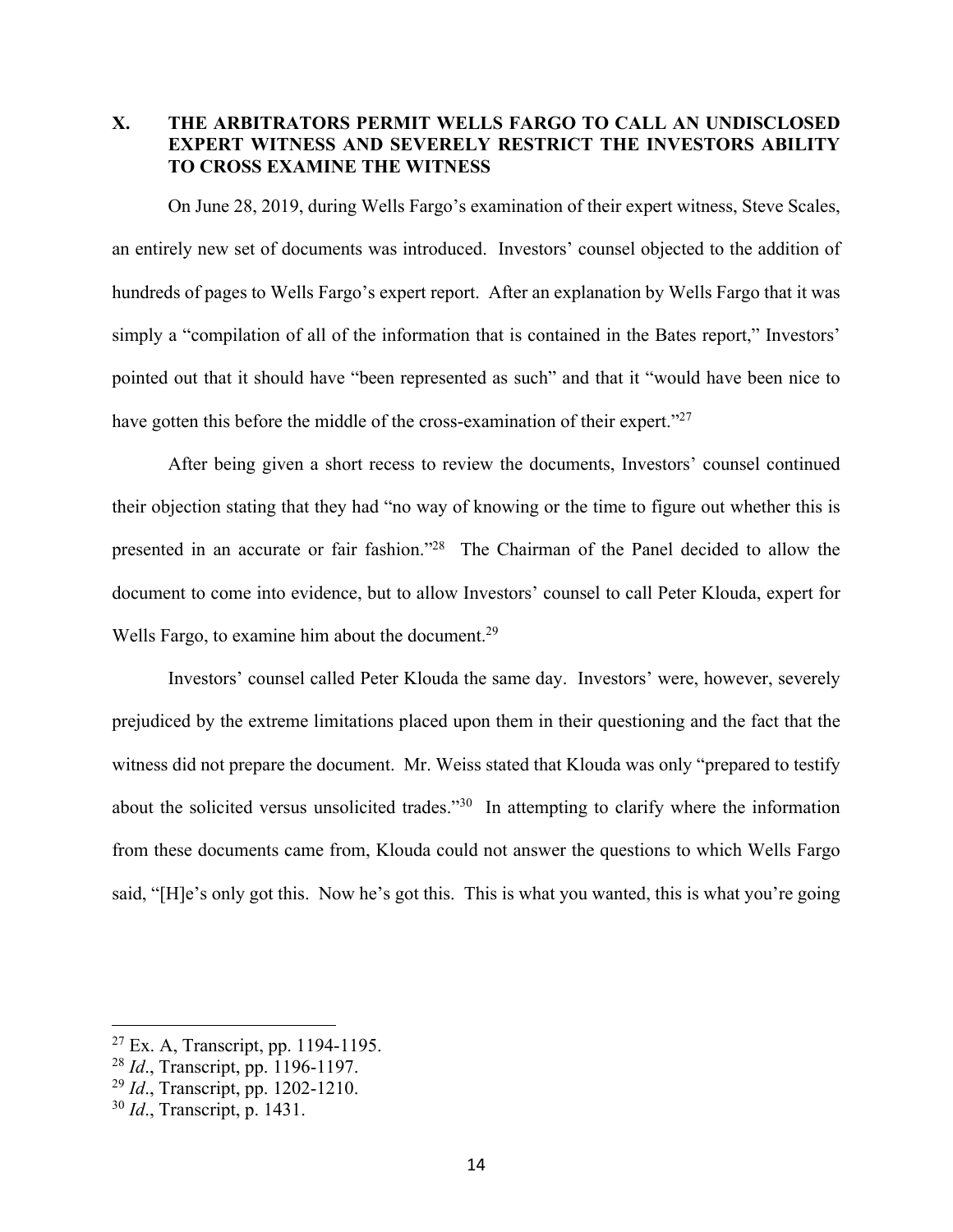# **X. THE ARBITRATORS PERMIT WELLS FARGO TO CALL AN UNDISCLOSED EXPERT WITNESS AND SEVERELY RESTRICT THE INVESTORS ABILITY TO CROSS EXAMINE THE WITNESS**

On June 28, 2019, during Wells Fargo's examination of their expert witness, Steve Scales, an entirely new set of documents was introduced. Investors' counsel objected to the addition of hundreds of pages to Wells Fargo's expert report. After an explanation by Wells Fargo that it was simply a "compilation of all of the information that is contained in the Bates report," Investors' pointed out that it should have "been represented as such" and that it "would have been nice to have gotten this before the middle of the cross-examination of their expert."<sup>27</sup>

After being given a short recess to review the documents, Investors' counsel continued their objection stating that they had "no way of knowing or the time to figure out whether this is presented in an accurate or fair fashion."28 The Chairman of the Panel decided to allow the document to come into evidence, but to allow Investors' counsel to call Peter Klouda, expert for Wells Fargo, to examine him about the document.<sup>29</sup>

Investors' counsel called Peter Klouda the same day. Investors' were, however, severely prejudiced by the extreme limitations placed upon them in their questioning and the fact that the witness did not prepare the document. Mr. Weiss stated that Klouda was only "prepared to testify about the solicited versus unsolicited trades."30 In attempting to clarify where the information from these documents came from, Klouda could not answer the questions to which Wells Fargo said, "[H]e's only got this. Now he's got this. This is what you wanted, this is what you're going

 $27$  Ex. A, Transcript, pp. 1194-1195.

<sup>28</sup> *Id*., Transcript, pp. 1196-1197.

<sup>29</sup> *Id*., Transcript, pp. 1202-1210.

<sup>30</sup> *Id*., Transcript, p. 1431.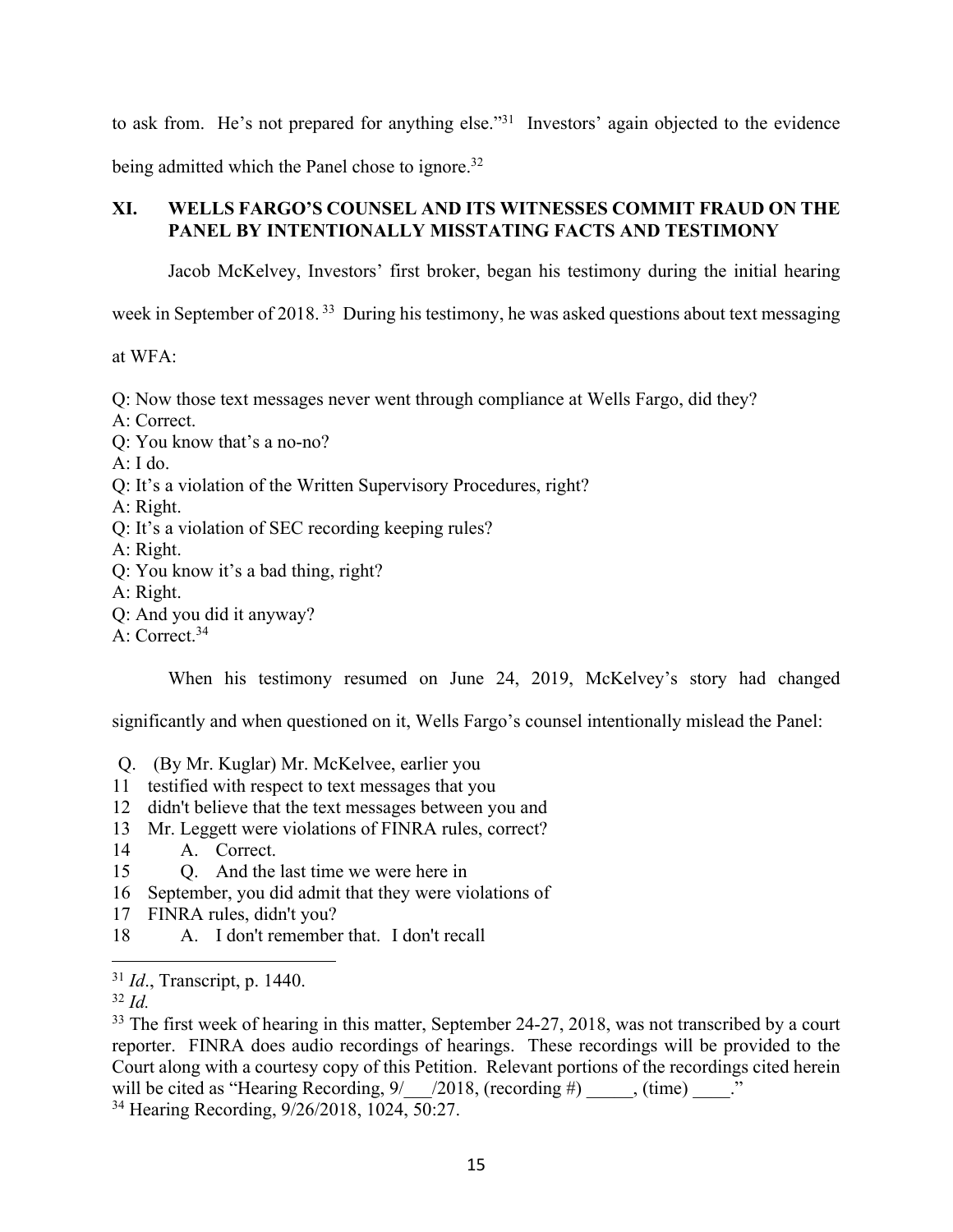to ask from. He's not prepared for anything else."<sup>31</sup> Investors' again objected to the evidence being admitted which the Panel chose to ignore.<sup>32</sup>

# **XI. WELLS FARGO'S COUNSEL AND ITS WITNESSES COMMIT FRAUD ON THE PANEL BY INTENTIONALLY MISSTATING FACTS AND TESTIMONY**

Jacob McKelvey, Investors' first broker, began his testimony during the initial hearing

week in September of 2018.<sup>33</sup> During his testimony, he was asked questions about text messaging

at WFA:

Q: Now those text messages never went through compliance at Wells Fargo, did they?

A: Correct.

Q: You know that's a no-no?

- A: I do.
- Q: It's a violation of the Written Supervisory Procedures, right?
- A: Right.
- Q: It's a violation of SEC recording keeping rules?

A: Right.

- Q: You know it's a bad thing, right?
- A: Right.
- Q: And you did it anyway?
- A: Correct.<sup>34</sup>

When his testimony resumed on June 24, 2019, McKelvey's story had changed

significantly and when questioned on it, Wells Fargo's counsel intentionally mislead the Panel:

- Q. (By Mr. Kuglar) Mr. McKelvee, earlier you
- 11 testified with respect to text messages that you
- 12 didn't believe that the text messages between you and
- 13 Mr. Leggett were violations of FINRA rules, correct?
- 14 · · A. Correct.
- 15 O. And the last time we were here in
- 16 September, you did admit that they were violations of
- 17 FINRA rules, didn't you?
- 18· · · · ·A.· ·I don't remember that.· I don't recall

34 Hearing Recording, 9/26/2018, 1024, 50:27.

<sup>31</sup> *Id*., Transcript, p. 1440.

<sup>32</sup> *Id.*

<sup>&</sup>lt;sup>33</sup> The first week of hearing in this matter, September 24-27, 2018, was not transcribed by a court reporter. FINRA does audio recordings of hearings. These recordings will be provided to the Court along with a courtesy copy of this Petition. Relevant portions of the recordings cited herein will be cited as "Hearing Recording,  $9/$  /2018, (recording #), (time) ..."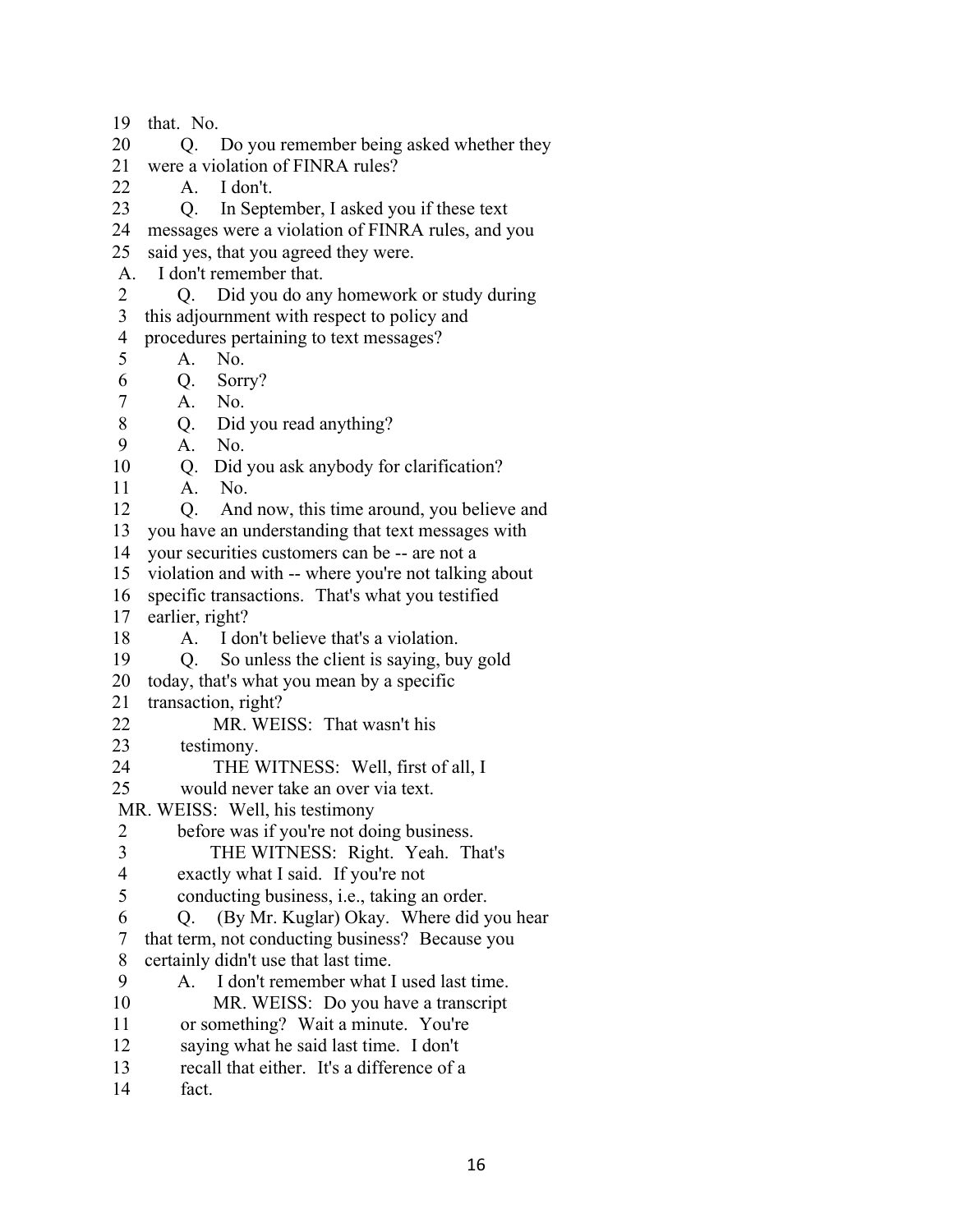19  $that. No.$ 20 · · · · · Do you remember being asked whether they 21 were a violation of FINRA rules?  $22$  A. I don't. 23 O. In September, I asked you if these text 24 messages were a violation of FINRA rules, and you 25 said yes, that you agreed they were. A. I don't remember that. 2 O. Did you do any homework or study during 3 this adjournment with respect to policy and 4 procedures pertaining to text messages? 5 **· A.** No.  $6$  O. Sorry? 7 **· A.** No. 8 · **Q.** Did you read anything? 9 A. No. 10 O. Did you ask anybody for clarification? 11· · · · ·A.· · No. 12 **· · · ·** Q. • And now, this time around, you believe and 13 you have an understanding that text messages with 14 your securities customers can be -- are not a 15 violation and with -- where you're not talking about 16 specific transactions. That's what you testified 17 earlier, right? 18 • A. I don't believe that's a violation. 19 · **O.** So unless the client is saying, buy gold 20 today, that's what you mean by a specific 21 transaction, right? 22 MR. WEISS: That wasn't his 23 testimony. 24 **THE WITNESS:** Well, first of all, I 25 would never take an over via text. MR. WEISS: Well, his testimony 2 before was if you're not doing business. 3 THE WITNESS: Right. Yeah. That's 4 exactly what I said. If you're not 5 conducting business, i.e., taking an order. ·6· · · · ·Q.· · (By Mr. Kuglar) Okay.· Where did you hear 7 that term, not conducting business? Because you 8 certainly didn't use that last time. 9 A. I don't remember what I used last time. 10 MR. WEISS: Do you have a transcript 11 or something? Wait a minute. You're 12 saying what he said last time. I don't 13 recall that either. It's a difference of a

 $14$  fact.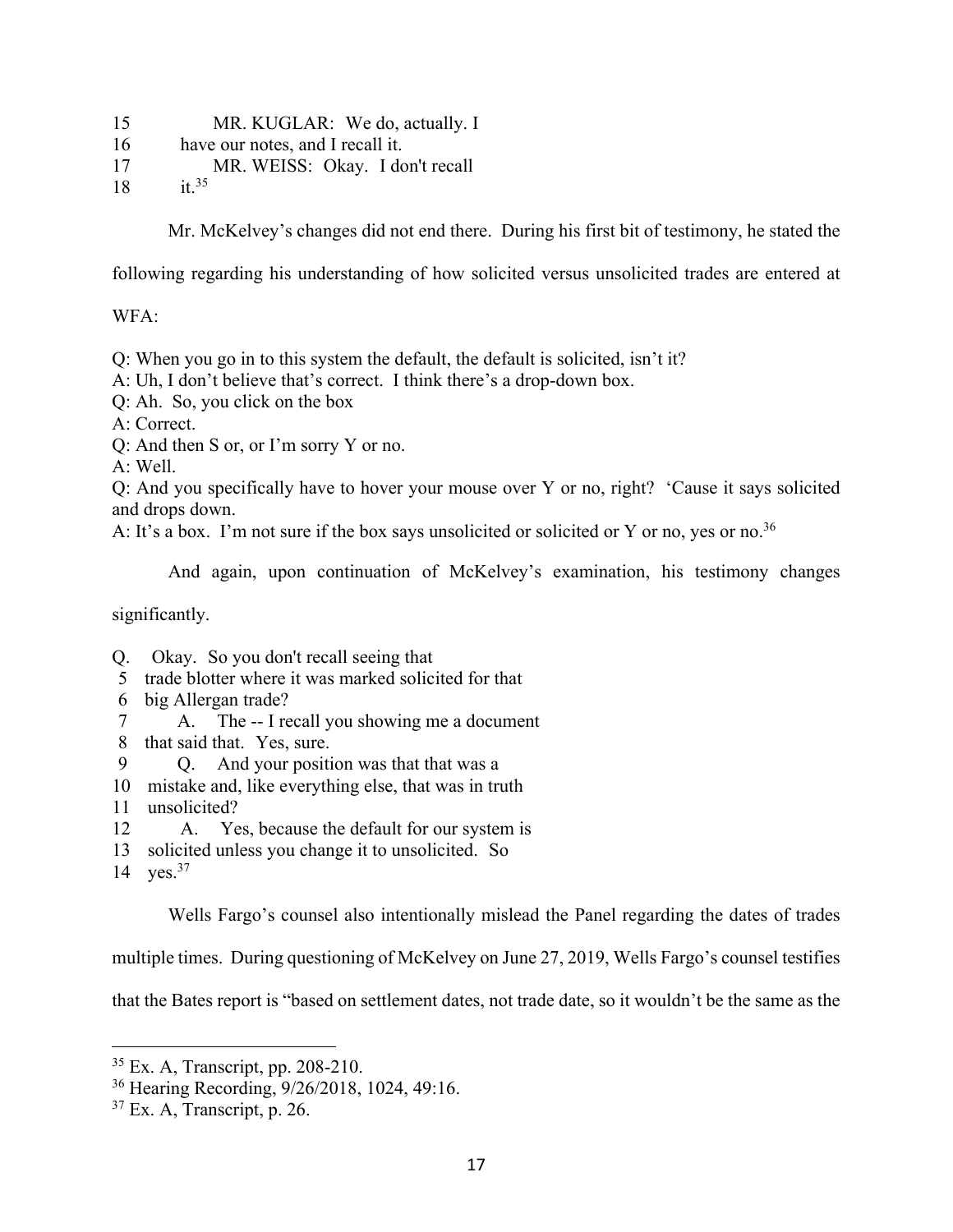15 MR. KUGLAR: We do, actually. I 16 have our notes, and I recall it. 17 MR. WEISS: Okay. I don't recall 18  $\,$  it.<sup>35</sup>

Mr. McKelvey's changes did not end there. During his first bit of testimony, he stated the

following regarding his understanding of how solicited versus unsolicited trades are entered at

### WFA:

Q: When you go in to this system the default, the default is solicited, isn't it?

A: Uh, I don't believe that's correct. I think there's a drop-down box.

Q: Ah. So, you click on the box

A: Correct.

Q: And then S or, or I'm sorry Y or no.

A: Well.

Q: And you specifically have to hover your mouse over Y or no, right? 'Cause it says solicited and drops down.

A: It's a box. I'm not sure if the box says unsolicited or solicited or Y or no, yes or no.<sup>36</sup>

And again, upon continuation of McKelvey's examination, his testimony changes

significantly.

- Q. Okay. So you don't recall seeing that
- 5 trade blotter where it was marked solicited for that
- 6 big Allergan trade?
- 7 **1.** The -- I recall you showing me a document
- 8 that said that. Yes, sure.
- 9 · O. And your position was that that was a
- 10 mistake and, like everything else, that was in truth
- 11 unsolicited?
- 12 A. Yes, because the default for our system is
- 13 solicited unless you change it to unsolicited. So
- 14  $\,$  yes.<sup>37</sup>

Wells Fargo's counsel also intentionally mislead the Panel regarding the dates of trades

multiple times. During questioning of McKelvey on June 27, 2019, Wells Fargo's counsel testifies

that the Bates report is "based on settlement dates, not trade date, so it wouldn't be the same as the

<sup>35</sup> Ex. A, Transcript, pp. 208-210.

<sup>36</sup> Hearing Recording, 9/26/2018, 1024, 49:16.

 $37$  Ex. A, Transcript, p. 26.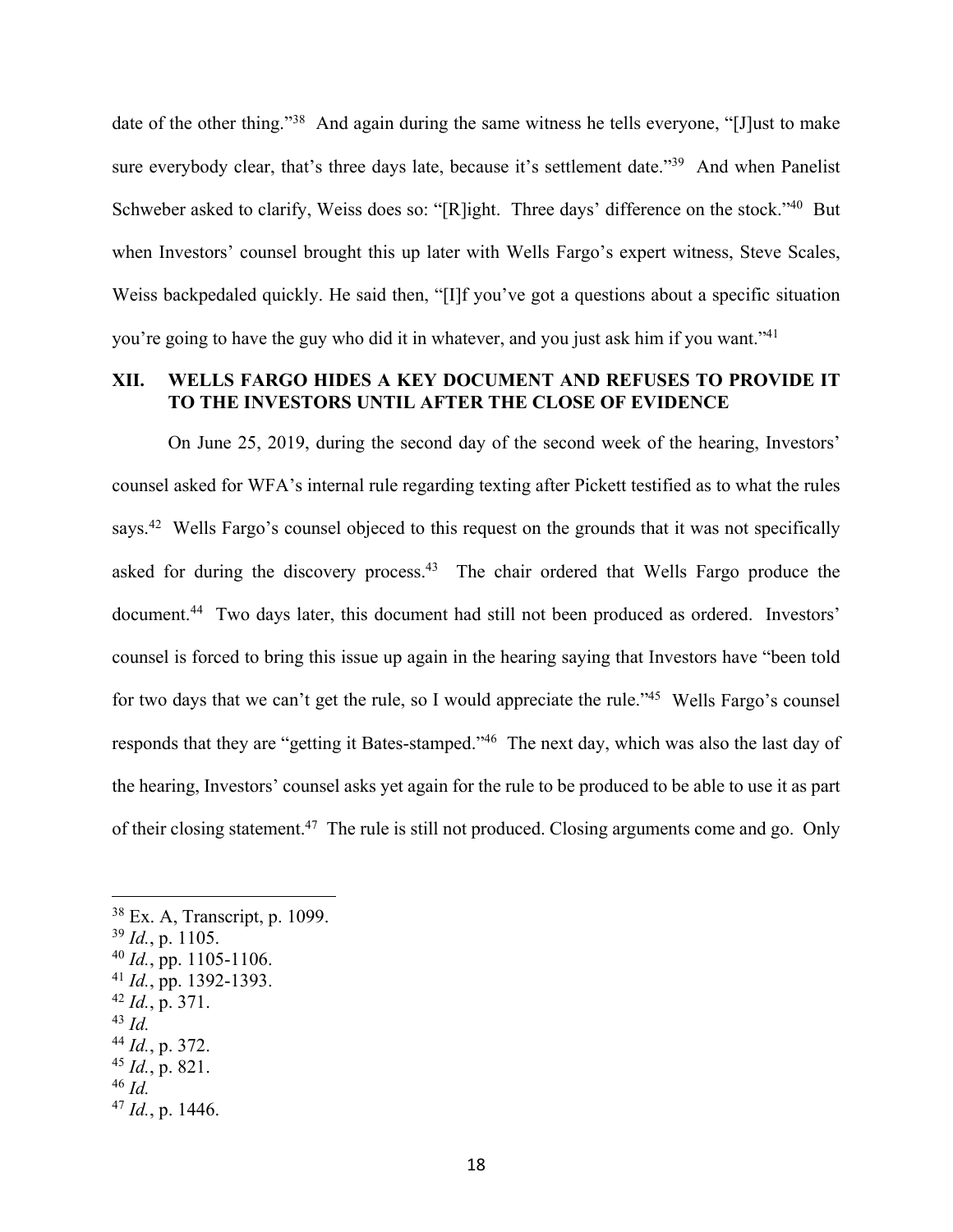date of the other thing."<sup>38</sup> And again during the same witness he tells everyone, "[J]ust to make sure everybody clear, that's three days late, because it's settlement date."<sup>39</sup> And when Panelist Schweber asked to clarify, Weiss does so: "[R]ight. Three days' difference on the stock."<sup>40</sup> But when Investors' counsel brought this up later with Wells Fargo's expert witness, Steve Scales, Weiss backpedaled quickly. He said then, "[I]f you've got a questions about a specific situation you're going to have the guy who did it in whatever, and you just ask him if you want."41

### **XII. WELLS FARGO HIDES A KEY DOCUMENT AND REFUSES TO PROVIDE IT TO THE INVESTORS UNTIL AFTER THE CLOSE OF EVIDENCE**

On June 25, 2019, during the second day of the second week of the hearing, Investors' counsel asked for WFA's internal rule regarding texting after Pickett testified as to what the rules says.<sup>42</sup> Wells Fargo's counsel objeced to this request on the grounds that it was not specifically asked for during the discovery process.<sup>43</sup> The chair ordered that Wells Fargo produce the document.<sup>44</sup> Two days later, this document had still not been produced as ordered. Investors' counsel is forced to bring this issue up again in the hearing saying that Investors have "been told for two days that we can't get the rule, so I would appreciate the rule."<sup>45</sup> Wells Fargo's counsel responds that they are "getting it Bates-stamped."46 The next day, which was also the last day of the hearing, Investors' counsel asks yet again for the rule to be produced to be able to use it as part of their closing statement.47 The rule is still not produced. Closing arguments come and go. Only

<sup>38</sup> Ex. A, Transcript, p. 1099. <sup>39</sup> *Id.*, p. 1105. <sup>40</sup> *Id.*, pp. 1105-1106. <sup>41</sup> *Id.*, pp. 1392-1393. <sup>42</sup> *Id.*, p. 371. <sup>43</sup> *Id.* <sup>44</sup> *Id.*, p. 372. <sup>45</sup> *Id.*, p. 821. <sup>46</sup> *Id.* <sup>47</sup> *Id.*, p. 1446.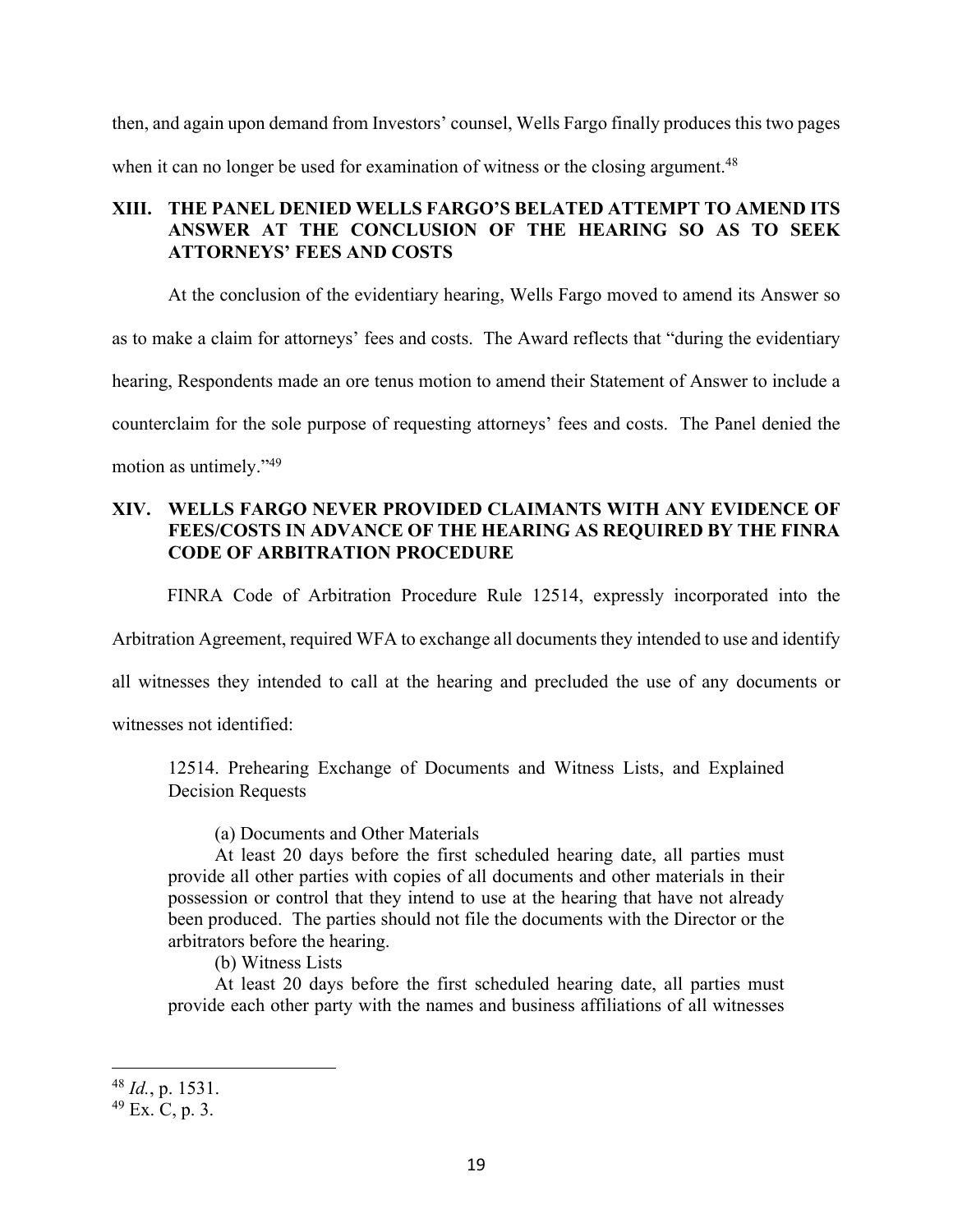then, and again upon demand from Investors' counsel, Wells Fargo finally produces this two pages when it can no longer be used for examination of witness or the closing argument.<sup>48</sup>

# **XIII. THE PANEL DENIED WELLS FARGO'S BELATED ATTEMPT TO AMEND ITS ANSWER AT THE CONCLUSION OF THE HEARING SO AS TO SEEK ATTORNEYS' FEES AND COSTS**

At the conclusion of the evidentiary hearing, Wells Fargo moved to amend its Answer so

as to make a claim for attorneys' fees and costs. The Award reflects that "during the evidentiary

hearing, Respondents made an ore tenus motion to amend their Statement of Answer to include a

counterclaim for the sole purpose of requesting attorneys' fees and costs. The Panel denied the

motion as untimely."49

# **XIV. WELLS FARGO NEVER PROVIDED CLAIMANTS WITH ANY EVIDENCE OF FEES/COSTS IN ADVANCE OF THE HEARING AS REQUIRED BY THE FINRA CODE OF ARBITRATION PROCEDURE**

FINRA Code of Arbitration Procedure Rule 12514, expressly incorporated into the

Arbitration Agreement, required WFA to exchange all documents they intended to use and identify

all witnesses they intended to call at the hearing and precluded the use of any documents or

witnesses not identified:

12514. Prehearing Exchange of Documents and Witness Lists, and Explained Decision Requests

(a) Documents and Other Materials

At least 20 days before the first scheduled hearing date, all parties must provide all other parties with copies of all documents and other materials in their possession or control that they intend to use at the hearing that have not already been produced. The parties should not file the documents with the Director or the arbitrators before the hearing.

(b) Witness Lists

At least 20 days before the first scheduled hearing date, all parties must provide each other party with the names and business affiliations of all witnesses

<sup>48</sup> *Id.*, p. 1531.

 $49$  Ex. C, p. 3.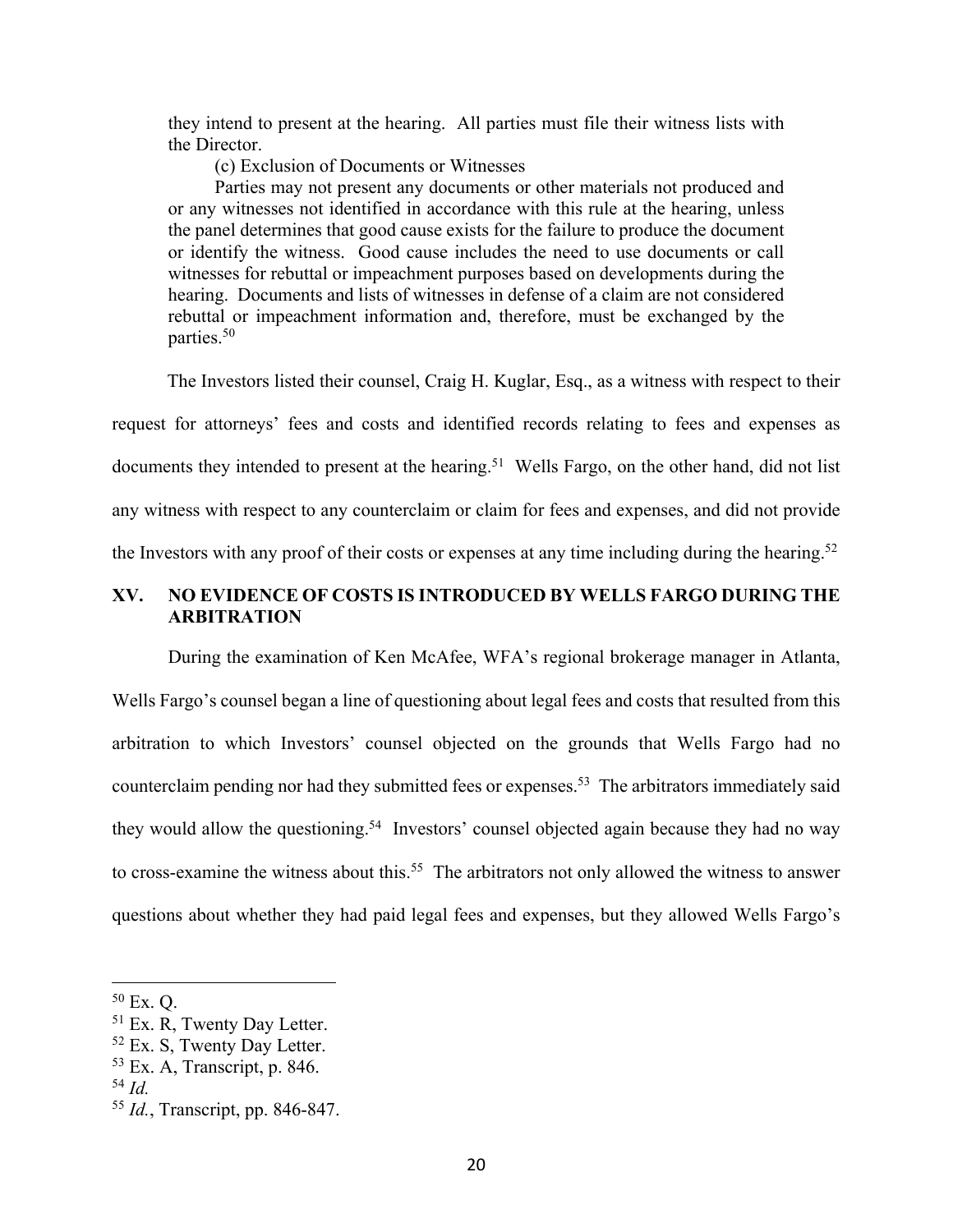they intend to present at the hearing. All parties must file their witness lists with the Director.

(c) Exclusion of Documents or Witnesses

Parties may not present any documents or other materials not produced and or any witnesses not identified in accordance with this rule at the hearing, unless the panel determines that good cause exists for the failure to produce the document or identify the witness. Good cause includes the need to use documents or call witnesses for rebuttal or impeachment purposes based on developments during the hearing. Documents and lists of witnesses in defense of a claim are not considered rebuttal or impeachment information and, therefore, must be exchanged by the parties.50

The Investors listed their counsel, Craig H. Kuglar, Esq., as a witness with respect to their request for attorneys' fees and costs and identified records relating to fees and expenses as documents they intended to present at the hearing.<sup>51</sup> Wells Fargo, on the other hand, did not list any witness with respect to any counterclaim or claim for fees and expenses, and did not provide the Investors with any proof of their costs or expenses at any time including during the hearing.<sup>52</sup>

### **XV. NO EVIDENCE OF COSTS IS INTRODUCED BY WELLS FARGO DURING THE ARBITRATION**

During the examination of Ken McAfee, WFA's regional brokerage manager in Atlanta, Wells Fargo's counsel began a line of questioning about legal fees and costs that resulted from this arbitration to which Investors' counsel objected on the grounds that Wells Fargo had no counterclaim pending nor had they submitted fees or expenses.<sup>53</sup> The arbitrators immediately said they would allow the questioning.<sup>54</sup> Investors' counsel objected again because they had no way to cross-examine the witness about this.<sup>55</sup> The arbitrators not only allowed the witness to answer questions about whether they had paid legal fees and expenses, but they allowed Wells Fargo's

<sup>50</sup> Ex. Q.

<sup>&</sup>lt;sup>51</sup> Ex. R, Twenty Day Letter.

<sup>52</sup> Ex. S, Twenty Day Letter.

 $53$  Ex. A, Transcript, p. 846.

<sup>54</sup> *Id.*

<sup>55</sup> *Id.*, Transcript, pp. 846-847.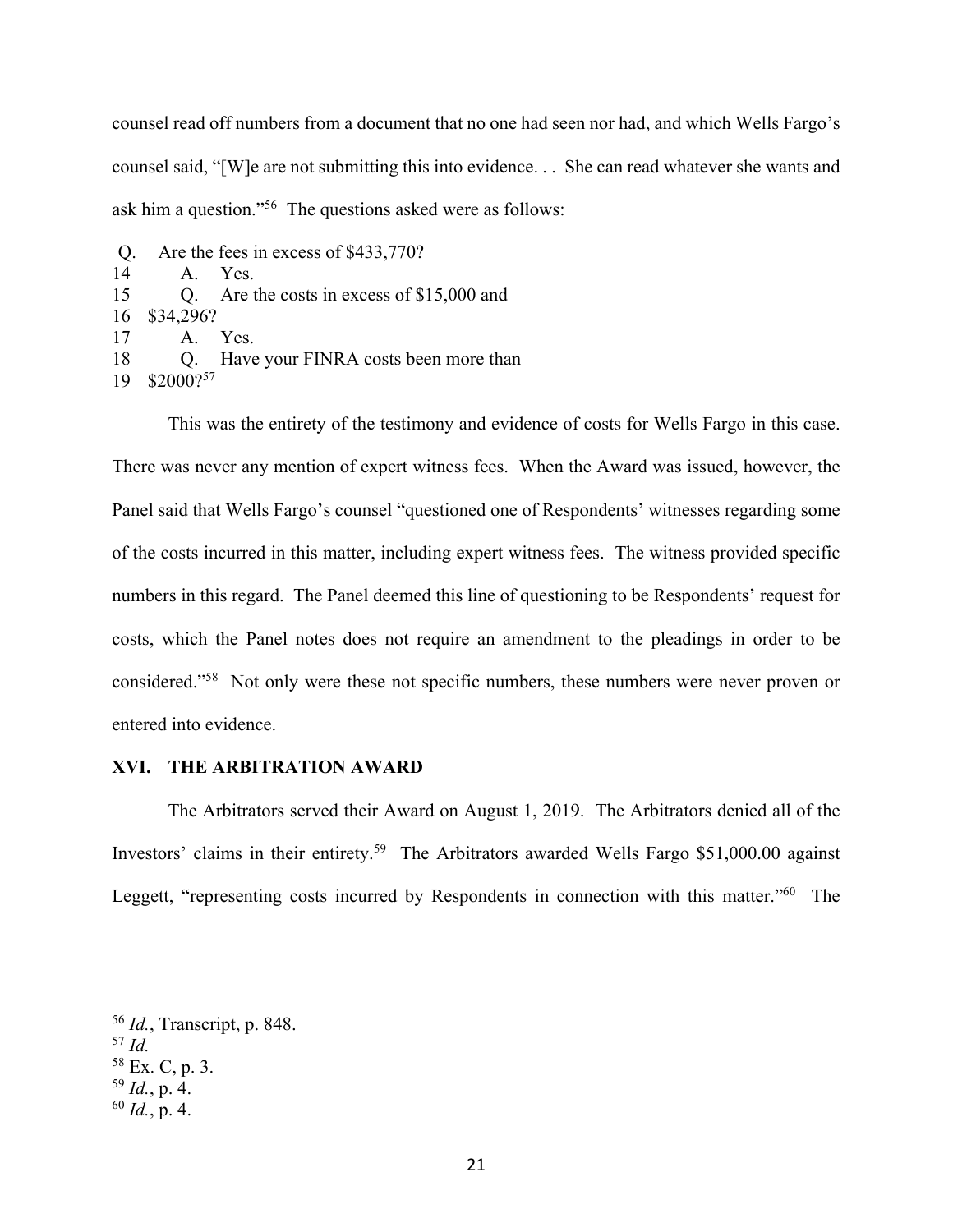counsel read off numbers from a document that no one had seen nor had, and which Wells Fargo's counsel said, "[W]e are not submitting this into evidence. . . She can read whatever she wants and ask him a question."56 The questions asked were as follows:

```
Q. Are the fees in excess of $433,770?
14· · · · ·A.· · Yes.
15 O. Are the costs in excess of $15,000 and
16 $34,296?
17· · · · ·A.· · Yes.
18 · Q. Have your FINRA costs been more than
19 $2000?57
```
This was the entirety of the testimony and evidence of costs for Wells Fargo in this case. There was never any mention of expert witness fees. When the Award was issued, however, the Panel said that Wells Fargo's counsel "questioned one of Respondents' witnesses regarding some of the costs incurred in this matter, including expert witness fees. The witness provided specific numbers in this regard. The Panel deemed this line of questioning to be Respondents' request for costs, which the Panel notes does not require an amendment to the pleadings in order to be considered."58 Not only were these not specific numbers, these numbers were never proven or entered into evidence.

### **XVI. THE ARBITRATION AWARD**

 The Arbitrators served their Award on August 1, 2019. The Arbitrators denied all of the Investors' claims in their entirety.59 The Arbitrators awarded Wells Fargo \$51,000.00 against Leggett, "representing costs incurred by Respondents in connection with this matter."<sup>60</sup> The

<sup>56</sup> *Id.*, Transcript, p. 848.

<sup>57</sup> *Id.*

<sup>58</sup> Ex. C, p. 3.

<sup>59</sup> *Id.*, p. 4.

<sup>60</sup> *Id.*, p. 4.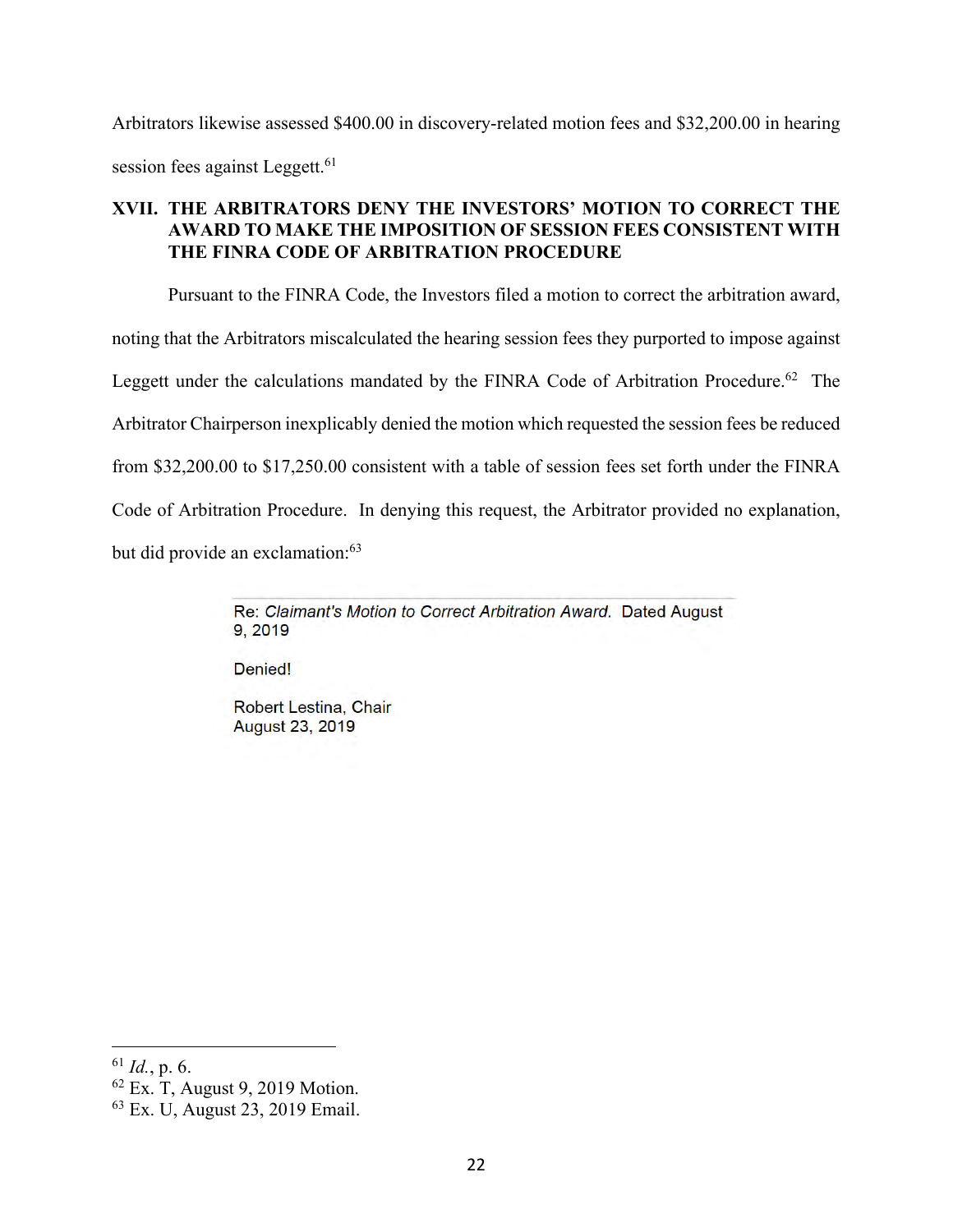Arbitrators likewise assessed \$400.00 in discovery-related motion fees and \$32,200.00 in hearing session fees against Leggett.<sup>61</sup>

# **XVII. THE ARBITRATORS DENY THE INVESTORS' MOTION TO CORRECT THE AWARD TO MAKE THE IMPOSITION OF SESSION FEES CONSISTENT WITH THE FINRA CODE OF ARBITRATION PROCEDURE**

 Pursuant to the FINRA Code, the Investors filed a motion to correct the arbitration award, noting that the Arbitrators miscalculated the hearing session fees they purported to impose against Leggett under the calculations mandated by the FINRA Code of Arbitration Procedure.<sup>62</sup> The Arbitrator Chairperson inexplicably denied the motion which requested the session fees be reduced from \$32,200.00 to \$17,250.00 consistent with a table of session fees set forth under the FINRA Code of Arbitration Procedure. In denying this request, the Arbitrator provided no explanation, but did provide an exclamation:<sup>63</sup>

> Re: Claimant's Motion to Correct Arbitration Award. Dated August 9.2019

Denied!

**Robert Lestina, Chair August 23, 2019** 

<sup>61</sup> *Id.*, p. 6.

<sup>62</sup> Ex. T, August 9, 2019 Motion.

<sup>63</sup> Ex. U, August 23, 2019 Email.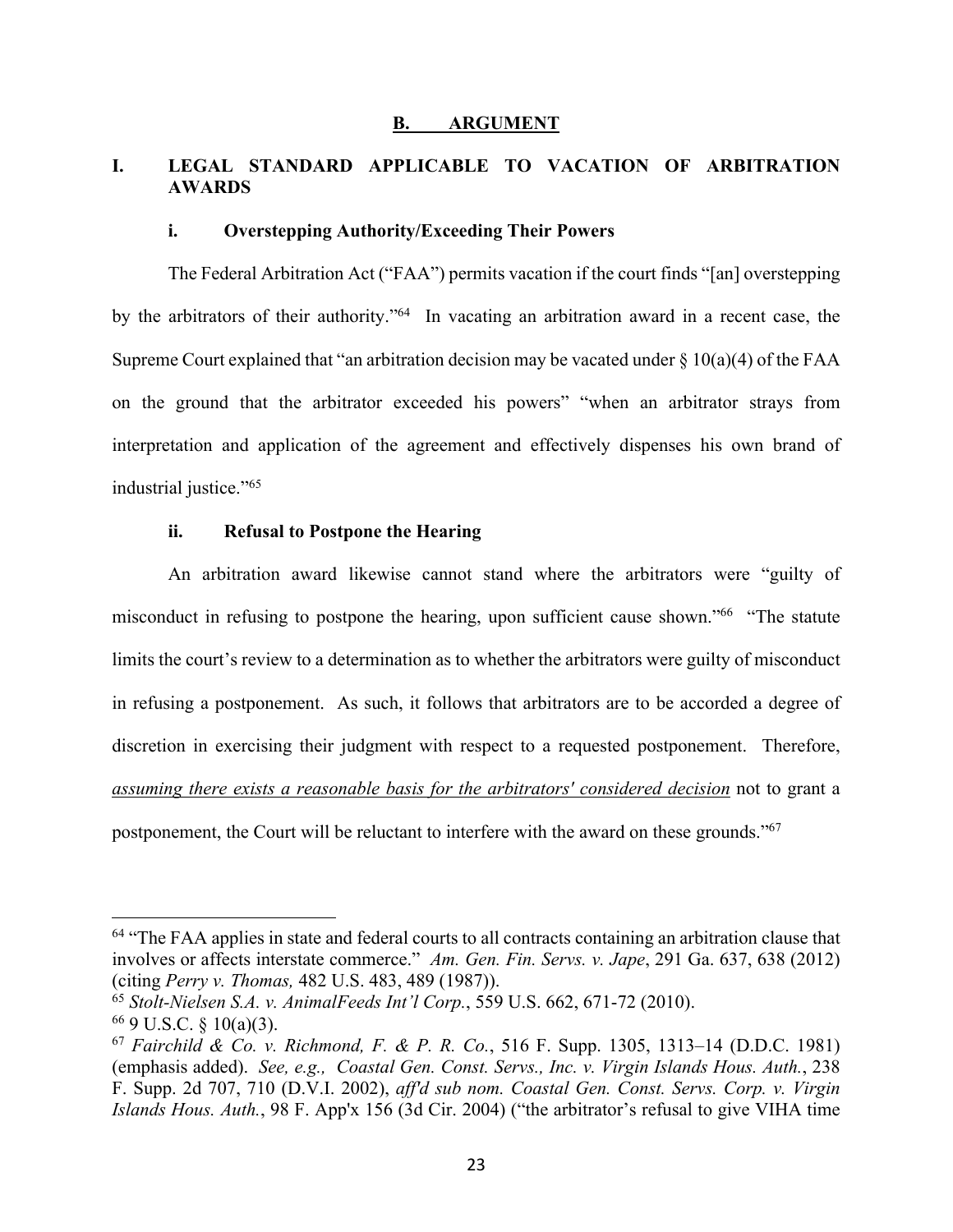#### **B.** ARGUMENT

## **I. LEGAL STANDARD APPLICABLE TO VACATION OF ARBITRATION AWARDS**

### **i. Overstepping Authority/Exceeding Their Powers**

The Federal Arbitration Act ("FAA") permits vacation if the court finds "[an] overstepping by the arbitrators of their authority."64 In vacating an arbitration award in a recent case, the Supreme Court explained that "an arbitration decision may be vacated under  $\S$  10(a)(4) of the FAA on the ground that the arbitrator exceeded his powers" "when an arbitrator strays from interpretation and application of the agreement and effectively dispenses his own brand of industrial justice."65

### **ii. Refusal to Postpone the Hearing**

An arbitration award likewise cannot stand where the arbitrators were "guilty of misconduct in refusing to postpone the hearing, upon sufficient cause shown."66 "The statute limits the court's review to a determination as to whether the arbitrators were guilty of misconduct in refusing a postponement. As such, it follows that arbitrators are to be accorded a degree of discretion in exercising their judgment with respect to a requested postponement. Therefore, *assuming there exists a reasonable basis for the arbitrators' considered decision* not to grant a

postponement, the Court will be reluctant to interfere with the award on these grounds."67

<sup>&</sup>lt;sup>64</sup> "The FAA applies in state and federal courts to all contracts containing an arbitration clause that involves or affects interstate commerce." *Am. Gen. Fin. Servs. v. Jape*, 291 Ga. 637, 638 (2012) (citing *Perry v. Thomas,* 482 U.S. 483, 489 (1987)).

<sup>65</sup> *Stolt-Nielsen S.A. v. AnimalFeeds Int'l Corp.*, 559 U.S. 662, 671-72 (2010).

 $669$  U.S.C. § 10(a)(3).

<sup>67</sup> *Fairchild & Co. v. Richmond, F. & P. R. Co.*, 516 F. Supp. 1305, 1313–14 (D.D.C. 1981) (emphasis added). *See, e.g., Coastal Gen. Const. Servs., Inc. v. Virgin Islands Hous. Auth.*, 238 F. Supp. 2d 707, 710 (D.V.I. 2002), *aff'd sub nom. Coastal Gen. Const. Servs. Corp. v. Virgin Islands Hous. Auth.*, 98 F. App'x 156 (3d Cir. 2004) ("the arbitrator's refusal to give VIHA time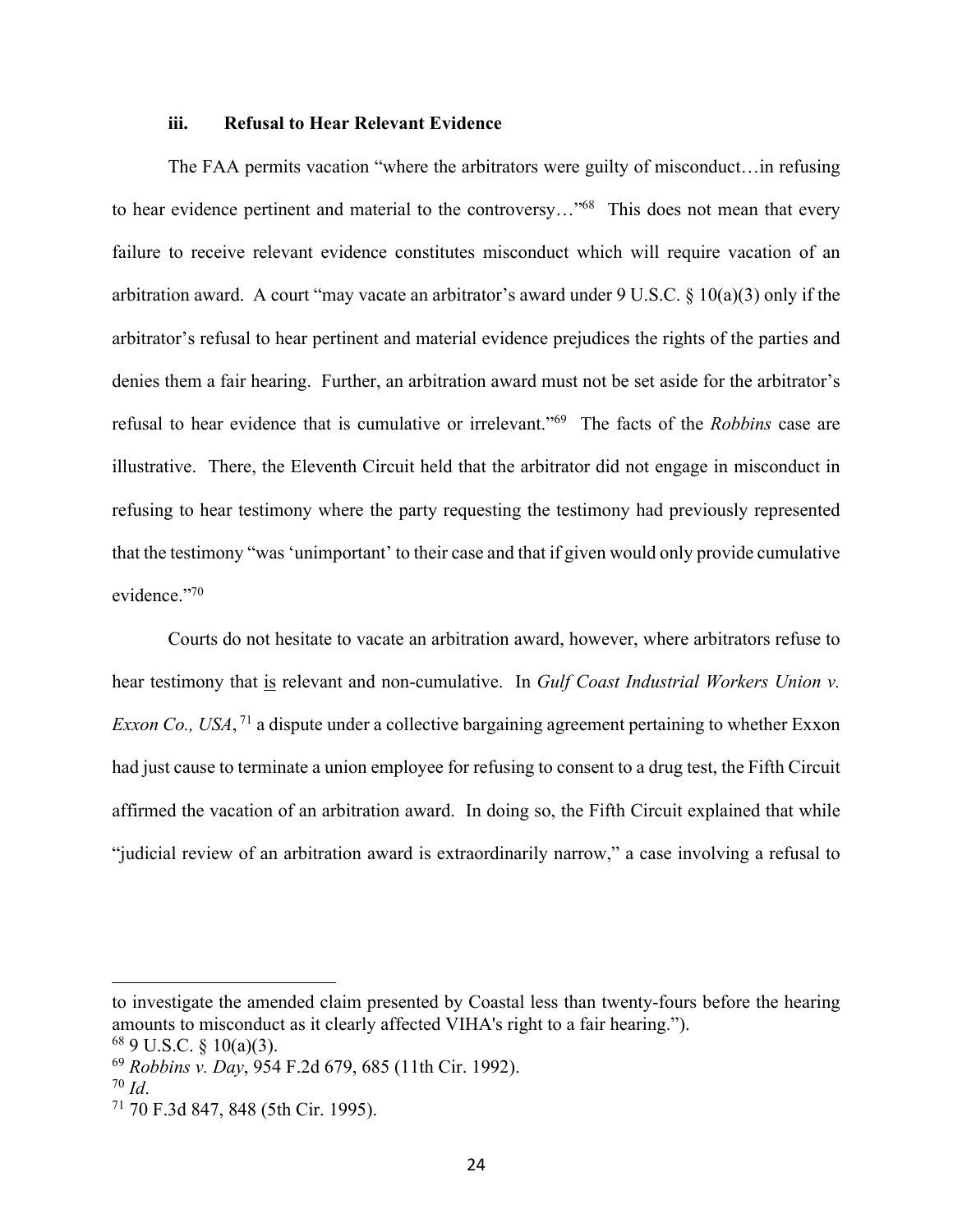#### **iii. Refusal to Hear Relevant Evidence**

The FAA permits vacation "where the arbitrators were guilty of misconduct…in refusing to hear evidence pertinent and material to the controversy..."<sup>68</sup> This does not mean that every failure to receive relevant evidence constitutes misconduct which will require vacation of an arbitration award. A court "may vacate an arbitrator's award under 9 U.S.C. § 10(a)(3) only if the arbitrator's refusal to hear pertinent and material evidence prejudices the rights of the parties and denies them a fair hearing. Further, an arbitration award must not be set aside for the arbitrator's refusal to hear evidence that is cumulative or irrelevant."69 The facts of the *Robbins* case are illustrative. There, the Eleventh Circuit held that the arbitrator did not engage in misconduct in refusing to hear testimony where the party requesting the testimony had previously represented that the testimony "was 'unimportant' to their case and that if given would only provide cumulative evidence."70

Courts do not hesitate to vacate an arbitration award, however, where arbitrators refuse to hear testimony that is relevant and non-cumulative. In *Gulf Coast Industrial Workers Union v. Exxon Co., USA*, <sup>71</sup> a dispute under a collective bargaining agreement pertaining to whether Exxon had just cause to terminate a union employee for refusing to consent to a drug test, the Fifth Circuit affirmed the vacation of an arbitration award. In doing so, the Fifth Circuit explained that while "judicial review of an arbitration award is extraordinarily narrow," a case involving a refusal to

to investigate the amended claim presented by Coastal less than twenty-fours before the hearing amounts to misconduct as it clearly affected VIHA's right to a fair hearing.").  $689$  U.S.C. § 10(a)(3).

<sup>69</sup> *Robbins v. Day*, 954 F.2d 679, 685 (11th Cir. 1992).

<sup>70</sup> *Id*. 71 70 F.3d 847, 848 (5th Cir. 1995).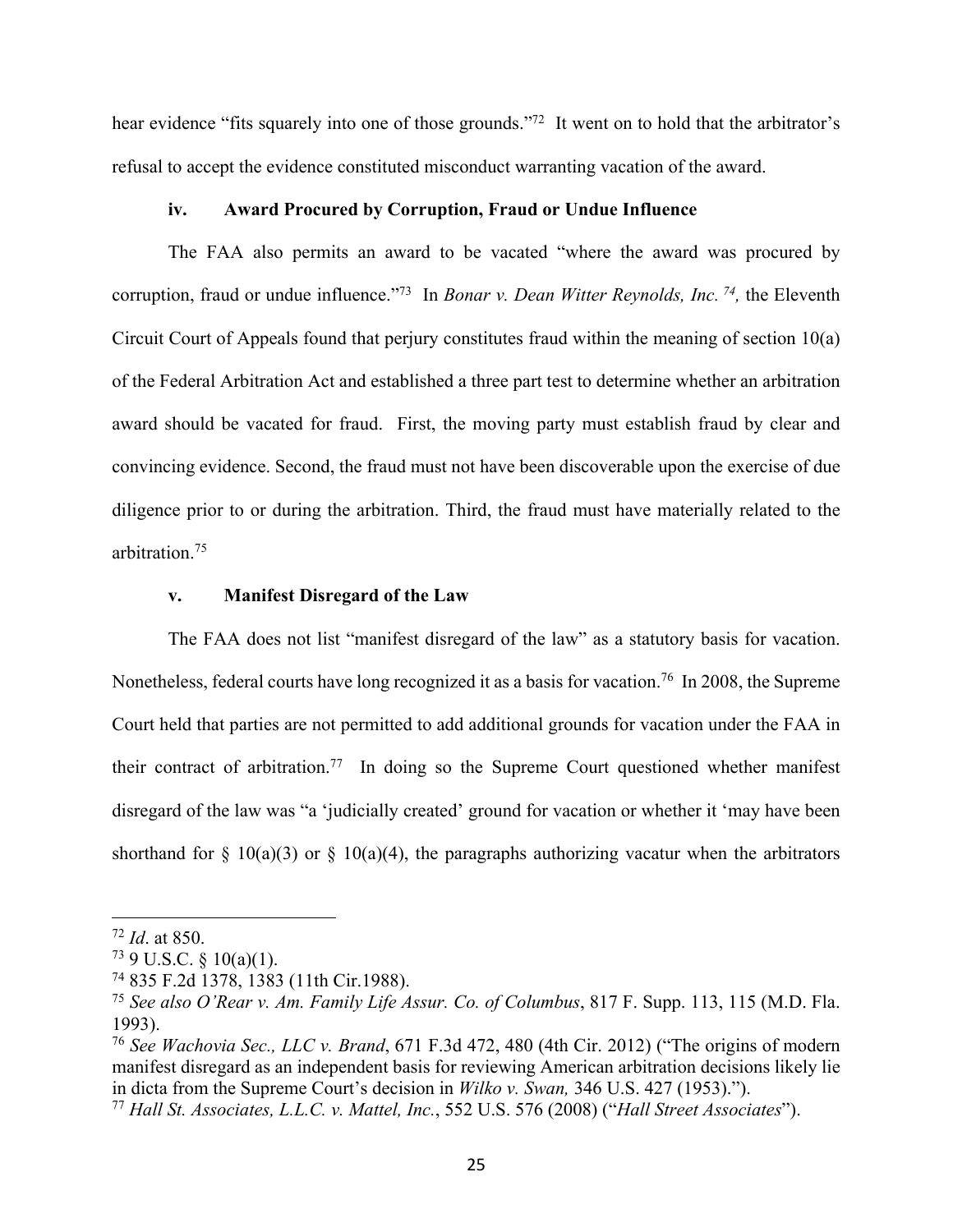hear evidence "fits squarely into one of those grounds."<sup>72</sup> It went on to hold that the arbitrator's refusal to accept the evidence constituted misconduct warranting vacation of the award.

#### **iv. Award Procured by Corruption, Fraud or Undue Influence**

 The FAA also permits an award to be vacated "where the award was procured by corruption, fraud or undue influence."73 In *Bonar v. Dean Witter Reynolds, Inc. 74,* the Eleventh Circuit Court of Appeals found that perjury constitutes fraud within the meaning of section 10(a) of the Federal Arbitration Act and established a three part test to determine whether an arbitration award should be vacated for fraud. First, the moving party must establish fraud by clear and convincing evidence. Second, the fraud must not have been discoverable upon the exercise of due diligence prior to or during the arbitration. Third, the fraud must have materially related to the arbitration.75

#### **v. Manifest Disregard of the Law**

The FAA does not list "manifest disregard of the law" as a statutory basis for vacation. Nonetheless, federal courts have long recognized it as a basis for vacation.<sup>76</sup> In 2008, the Supreme Court held that parties are not permitted to add additional grounds for vacation under the FAA in their contract of arbitration.<sup>77</sup> In doing so the Supreme Court questioned whether manifest disregard of the law was "a 'judicially created' ground for vacation or whether it 'may have been shorthand for  $\S$  10(a)(3) or  $\S$  10(a)(4), the paragraphs authorizing vacatur when the arbitrators

<sup>72</sup> *Id*. at 850.

 $73$  9 U.S.C. § 10(a)(1).

<sup>74 835</sup> F.2d 1378, 1383 (11th Cir.1988).

<sup>75</sup> *See also O'Rear v. Am. Family Life Assur. Co. of Columbus*, 817 F. Supp. 113, 115 (M.D. Fla. 1993).

<sup>76</sup> *See Wachovia Sec., LLC v. Brand*, 671 F.3d 472, 480 (4th Cir. 2012) ("The origins of modern manifest disregard as an independent basis for reviewing American arbitration decisions likely lie in dicta from the Supreme Court's decision in *Wilko v. Swan,* 346 U.S. 427 (1953).").

<sup>77</sup> *Hall St. Associates, L.L.C. v. Mattel, Inc.*, 552 U.S. 576 (2008) ("*Hall Street Associates*").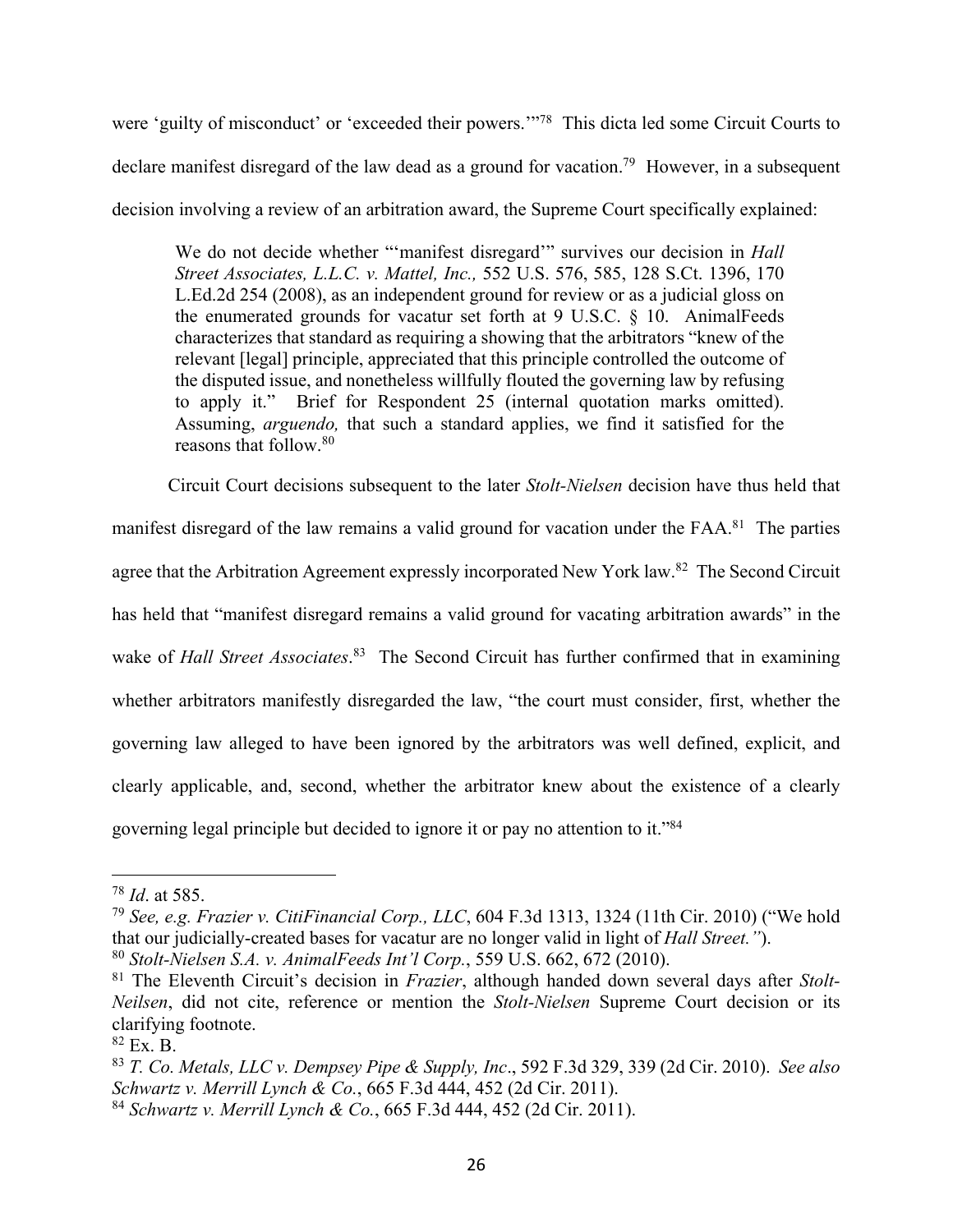were 'guilty of misconduct' or 'exceeded their powers.'"78 This dicta led some Circuit Courts to declare manifest disregard of the law dead as a ground for vacation.<sup>79</sup> However, in a subsequent decision involving a review of an arbitration award, the Supreme Court specifically explained:

We do not decide whether "'manifest disregard'" survives our decision in *Hall Street Associates, L.L.C. v. Mattel, Inc.,* 552 U.S. 576, 585, 128 S.Ct. 1396, 170 L.Ed.2d 254 (2008), as an independent ground for review or as a judicial gloss on the enumerated grounds for vacatur set forth at 9 U.S.C. § 10. AnimalFeeds characterizes that standard as requiring a showing that the arbitrators "knew of the relevant [legal] principle, appreciated that this principle controlled the outcome of the disputed issue, and nonetheless willfully flouted the governing law by refusing to apply it." Brief for Respondent 25 (internal quotation marks omitted). Assuming, *arguendo,* that such a standard applies, we find it satisfied for the reasons that follow.80

Circuit Court decisions subsequent to the later *Stolt-Nielsen* decision have thus held that manifest disregard of the law remains a valid ground for vacation under the FAA.<sup>81</sup> The parties agree that the Arbitration Agreement expressly incorporated New York law.<sup>82</sup> The Second Circuit has held that "manifest disregard remains a valid ground for vacating arbitration awards" in the wake of *Hall Street Associates*.<sup>83</sup> The Second Circuit has further confirmed that in examining whether arbitrators manifestly disregarded the law, "the court must consider, first, whether the governing law alleged to have been ignored by the arbitrators was well defined, explicit, and clearly applicable, and, second, whether the arbitrator knew about the existence of a clearly governing legal principle but decided to ignore it or pay no attention to it."84

<sup>78</sup> *Id*. at 585.

<sup>79</sup> *See, e.g. Frazier v. CitiFinancial Corp., LLC*, 604 F.3d 1313, 1324 (11th Cir. 2010) ("We hold that our judicially-created bases for vacatur are no longer valid in light of *Hall Street."*).

<sup>80</sup> *Stolt-Nielsen S.A. v. AnimalFeeds Int'l Corp.*, 559 U.S. 662, 672 (2010).

<sup>81</sup> The Eleventh Circuit's decision in *Frazier*, although handed down several days after *Stolt-Neilsen*, did not cite, reference or mention the *Stolt-Nielsen* Supreme Court decision or its clarifying footnote.

<sup>82</sup> Ex. B.

<sup>83</sup> *T. Co. Metals, LLC v. Dempsey Pipe & Supply, Inc*., 592 F.3d 329, 339 (2d Cir. 2010). *See also Schwartz v. Merrill Lynch & Co.*, 665 F.3d 444, 452 (2d Cir. 2011).

<sup>84</sup> *Schwartz v. Merrill Lynch & Co.*, 665 F.3d 444, 452 (2d Cir. 2011).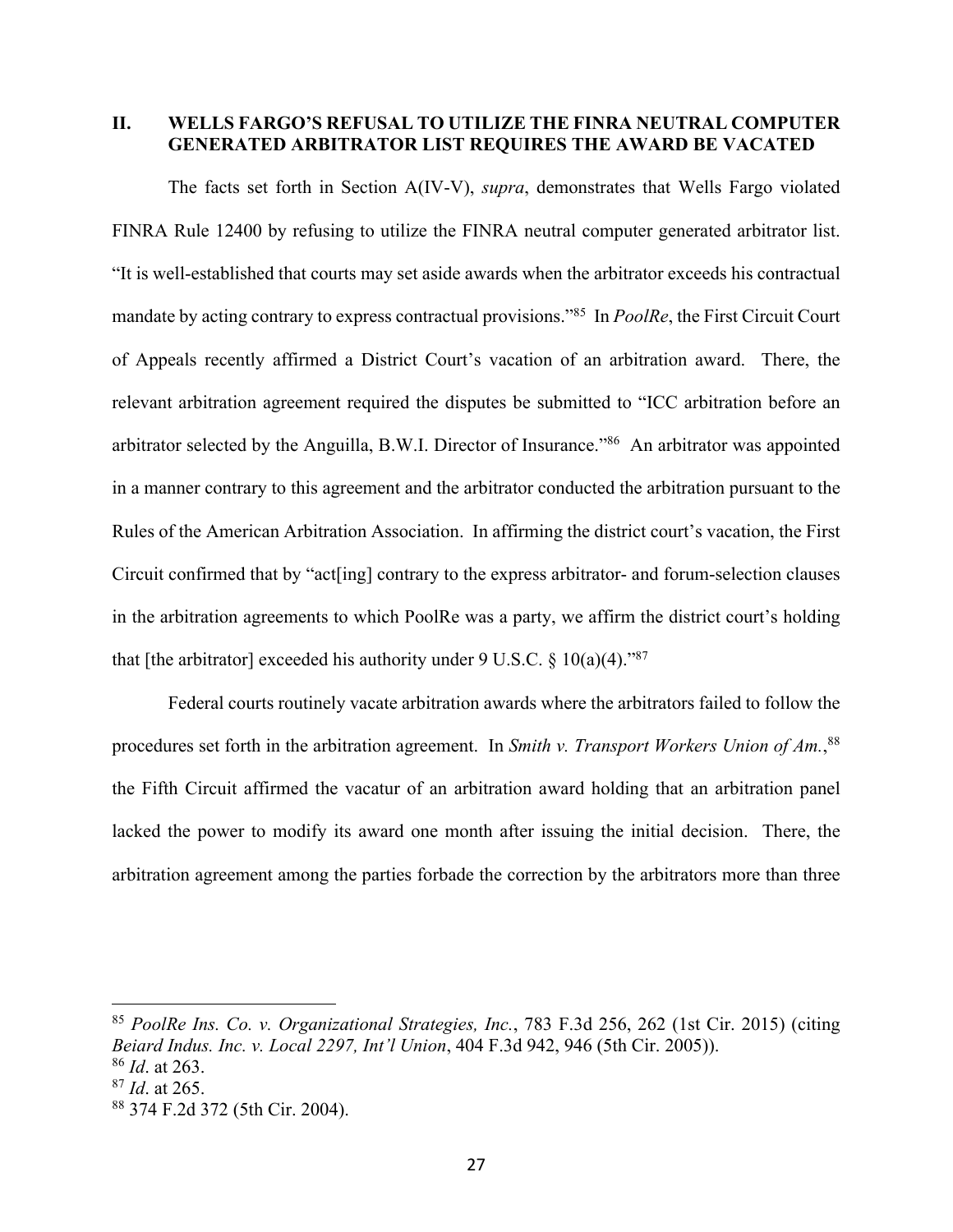### **II. WELLS FARGO'S REFUSAL TO UTILIZE THE FINRA NEUTRAL COMPUTER GENERATED ARBITRATOR LIST REQUIRES THE AWARD BE VACATED**

The facts set forth in Section A(IV-V), *supra*, demonstrates that Wells Fargo violated FINRA Rule 12400 by refusing to utilize the FINRA neutral computer generated arbitrator list. "It is well-established that courts may set aside awards when the arbitrator exceeds his contractual mandate by acting contrary to express contractual provisions."85 In *PoolRe*, the First Circuit Court of Appeals recently affirmed a District Court's vacation of an arbitration award. There, the relevant arbitration agreement required the disputes be submitted to "ICC arbitration before an arbitrator selected by the Anguilla, B.W.I. Director of Insurance."86 An arbitrator was appointed in a manner contrary to this agreement and the arbitrator conducted the arbitration pursuant to the Rules of the American Arbitration Association. In affirming the district court's vacation, the First Circuit confirmed that by "act[ing] contrary to the express arbitrator- and forum-selection clauses in the arbitration agreements to which PoolRe was a party, we affirm the district court's holding that [the arbitrator] exceeded his authority under 9 U.S.C.  $\delta$  10(a)(4).<sup>787</sup>

Federal courts routinely vacate arbitration awards where the arbitrators failed to follow the procedures set forth in the arbitration agreement. In *Smith v. Transport Workers Union of Am.*, 88 the Fifth Circuit affirmed the vacatur of an arbitration award holding that an arbitration panel lacked the power to modify its award one month after issuing the initial decision. There, the arbitration agreement among the parties forbade the correction by the arbitrators more than three

<sup>85</sup> *PoolRe Ins. Co. v. Organizational Strategies, Inc.*, 783 F.3d 256, 262 (1st Cir. 2015) (citing *Beiard Indus. Inc. v. Local 2297, Int'l Union*, 404 F.3d 942, 946 (5th Cir. 2005)). <sup>86</sup> *Id*. at 263.

<sup>87</sup> *Id*. at 265.

<sup>88 374</sup> F.2d 372 (5th Cir. 2004).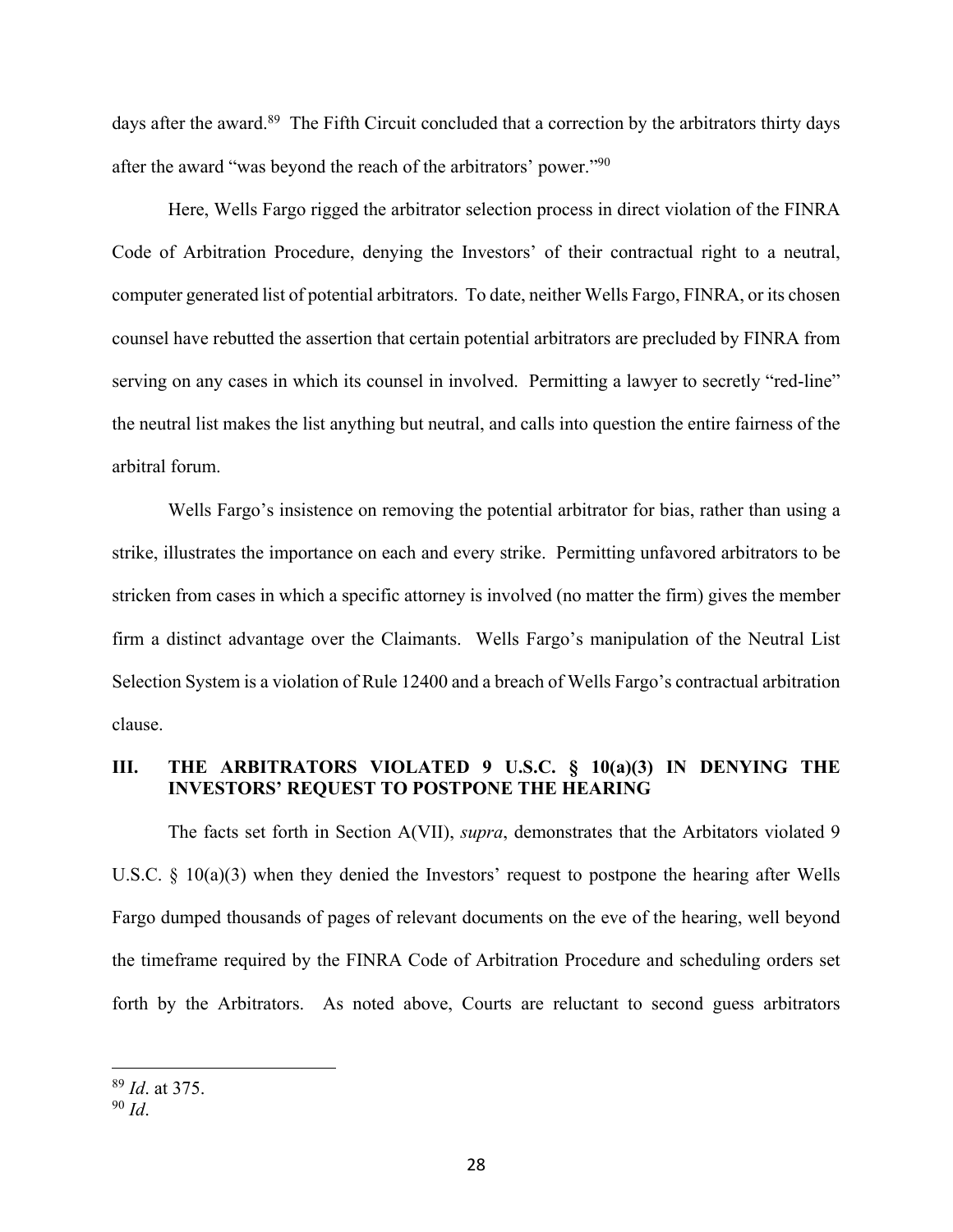days after the award.<sup>89</sup> The Fifth Circuit concluded that a correction by the arbitrators thirty days after the award "was beyond the reach of the arbitrators' power."90

Here, Wells Fargo rigged the arbitrator selection process in direct violation of the FINRA Code of Arbitration Procedure, denying the Investors' of their contractual right to a neutral, computer generated list of potential arbitrators. To date, neither Wells Fargo, FINRA, or its chosen counsel have rebutted the assertion that certain potential arbitrators are precluded by FINRA from serving on any cases in which its counsel in involved. Permitting a lawyer to secretly "red-line" the neutral list makes the list anything but neutral, and calls into question the entire fairness of the arbitral forum.

Wells Fargo's insistence on removing the potential arbitrator for bias, rather than using a strike, illustrates the importance on each and every strike. Permitting unfavored arbitrators to be stricken from cases in which a specific attorney is involved (no matter the firm) gives the member firm a distinct advantage over the Claimants. Wells Fargo's manipulation of the Neutral List Selection System is a violation of Rule 12400 and a breach of Wells Fargo's contractual arbitration clause.

### **III. THE ARBITRATORS VIOLATED 9 U.S.C. § 10(a)(3) IN DENYING THE INVESTORS' REQUEST TO POSTPONE THE HEARING**

The facts set forth in Section A(VII), *supra*, demonstrates that the Arbitators violated 9 U.S.C.  $\S$  10(a)(3) when they denied the Investors' request to postpone the hearing after Wells Fargo dumped thousands of pages of relevant documents on the eve of the hearing, well beyond the timeframe required by the FINRA Code of Arbitration Procedure and scheduling orders set forth by the Arbitrators. As noted above, Courts are reluctant to second guess arbitrators

<sup>89</sup> *Id*. at 375.

<sup>90</sup> *Id*.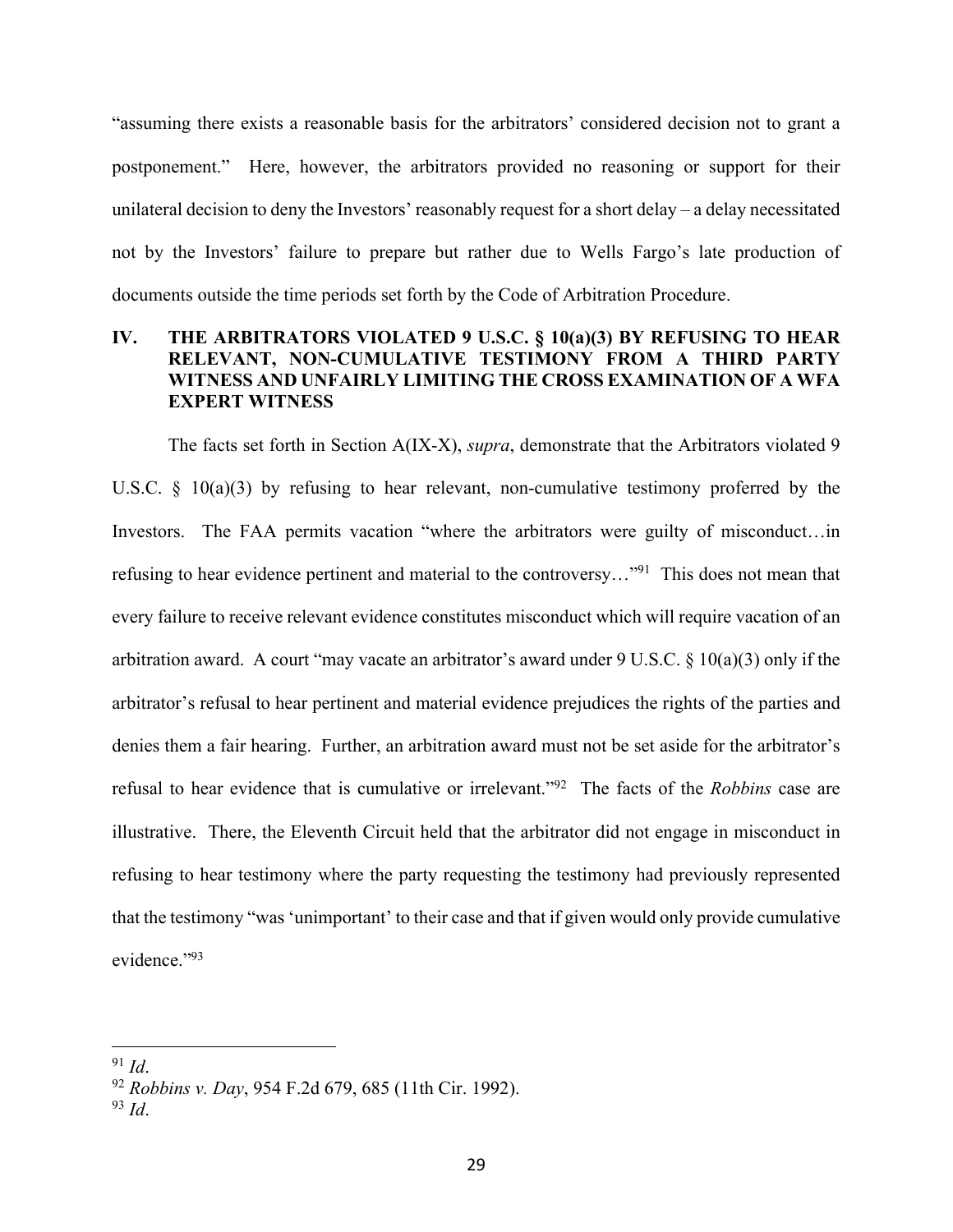"assuming there exists a reasonable basis for the arbitrators' considered decision not to grant a postponement." Here, however, the arbitrators provided no reasoning or support for their unilateral decision to deny the Investors' reasonably request for a short delay – a delay necessitated not by the Investors' failure to prepare but rather due to Wells Fargo's late production of documents outside the time periods set forth by the Code of Arbitration Procedure.

# **IV. THE ARBITRATORS VIOLATED 9 U.S.C. § 10(a)(3) BY REFUSING TO HEAR RELEVANT, NON-CUMULATIVE TESTIMONY FROM A THIRD PARTY WITNESS AND UNFAIRLY LIMITING THE CROSS EXAMINATION OF A WFA EXPERT WITNESS**

The facts set forth in Section A(IX-X), *supra*, demonstrate that the Arbitrators violated 9 U.S.C.  $\S$  10(a)(3) by refusing to hear relevant, non-cumulative testimony proferred by the Investors. The FAA permits vacation "where the arbitrators were guilty of misconduct...in refusing to hear evidence pertinent and material to the controversy..."<sup>91</sup> This does not mean that every failure to receive relevant evidence constitutes misconduct which will require vacation of an arbitration award. A court "may vacate an arbitrator's award under 9 U.S.C. § 10(a)(3) only if the arbitrator's refusal to hear pertinent and material evidence prejudices the rights of the parties and denies them a fair hearing. Further, an arbitration award must not be set aside for the arbitrator's refusal to hear evidence that is cumulative or irrelevant."92 The facts of the *Robbins* case are illustrative. There, the Eleventh Circuit held that the arbitrator did not engage in misconduct in refusing to hear testimony where the party requesting the testimony had previously represented that the testimony "was 'unimportant' to their case and that if given would only provide cumulative evidence."93

<sup>91</sup> *Id*. 92 *Robbins v. Day*, 954 F.2d 679, 685 (11th Cir. 1992).

<sup>93</sup> *Id*.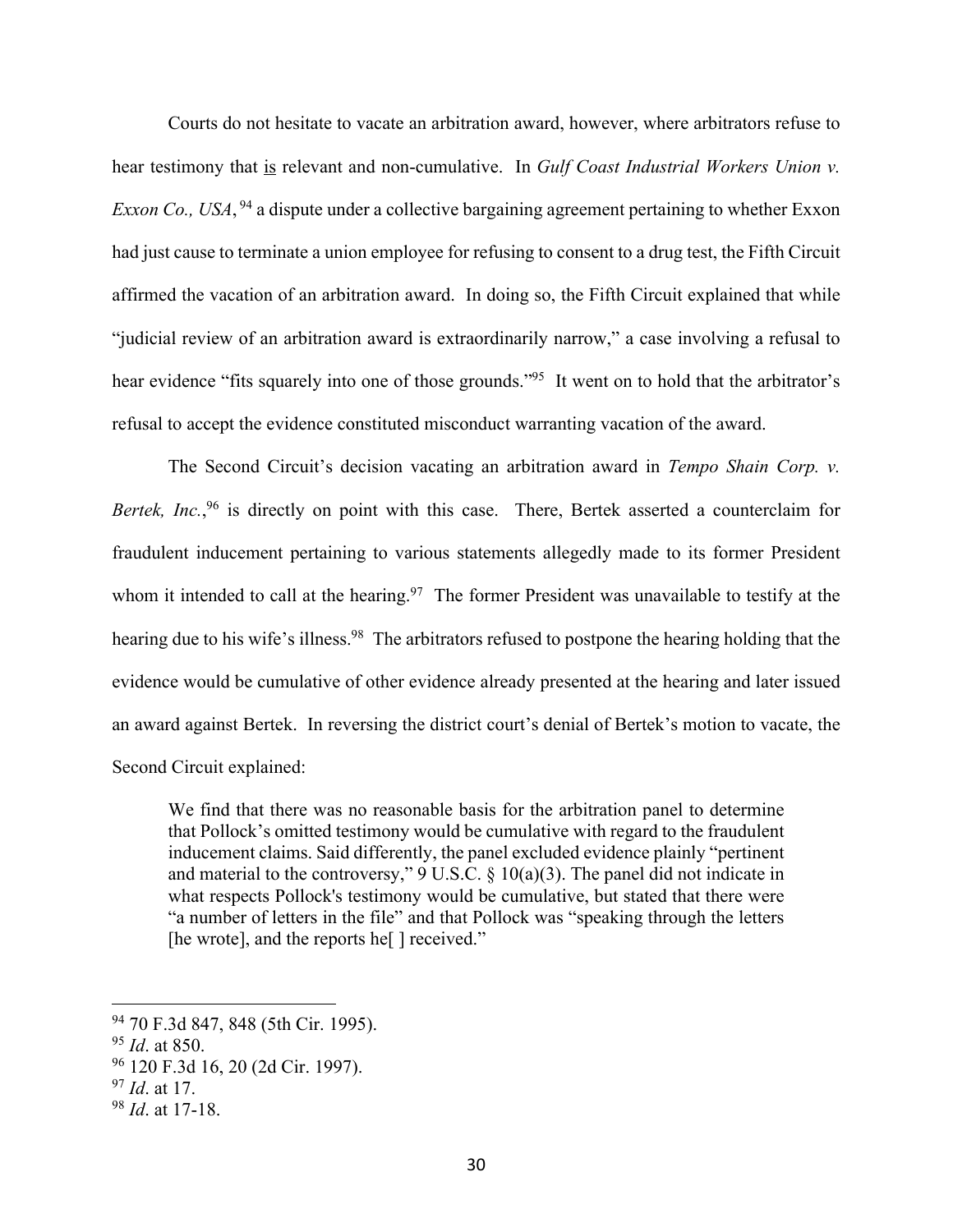Courts do not hesitate to vacate an arbitration award, however, where arbitrators refuse to hear testimony that is relevant and non-cumulative. In *Gulf Coast Industrial Workers Union v. Exxon Co., USA*, <sup>94</sup> a dispute under a collective bargaining agreement pertaining to whether Exxon had just cause to terminate a union employee for refusing to consent to a drug test, the Fifth Circuit affirmed the vacation of an arbitration award. In doing so, the Fifth Circuit explained that while "judicial review of an arbitration award is extraordinarily narrow," a case involving a refusal to hear evidence "fits squarely into one of those grounds."<sup>95</sup> It went on to hold that the arbitrator's refusal to accept the evidence constituted misconduct warranting vacation of the award.

The Second Circuit's decision vacating an arbitration award in *Tempo Shain Corp. v.*  Bertek, Inc.,<sup>96</sup> is directly on point with this case. There, Bertek asserted a counterclaim for fraudulent inducement pertaining to various statements allegedly made to its former President whom it intended to call at the hearing.<sup>97</sup> The former President was unavailable to testify at the hearing due to his wife's illness.<sup>98</sup> The arbitrators refused to postpone the hearing holding that the evidence would be cumulative of other evidence already presented at the hearing and later issued an award against Bertek. In reversing the district court's denial of Bertek's motion to vacate, the Second Circuit explained:

We find that there was no reasonable basis for the arbitration panel to determine that Pollock's omitted testimony would be cumulative with regard to the fraudulent inducement claims. Said differently, the panel excluded evidence plainly "pertinent and material to the controversy,"  $9 \text{ U.S.C.} \$   $10(a)(3)$ . The panel did not indicate in what respects Pollock's testimony would be cumulative, but stated that there were "a number of letters in the file" and that Pollock was "speaking through the letters [he wrote], and the reports he<sup>[]</sup> received."

<sup>94 70</sup> F.3d 847, 848 (5th Cir. 1995).

<sup>95</sup> *Id*. at 850.

<sup>96 120</sup> F.3d 16, 20 (2d Cir. 1997).

<sup>97</sup> *Id*. at 17.

<sup>98</sup> *Id*. at 17-18.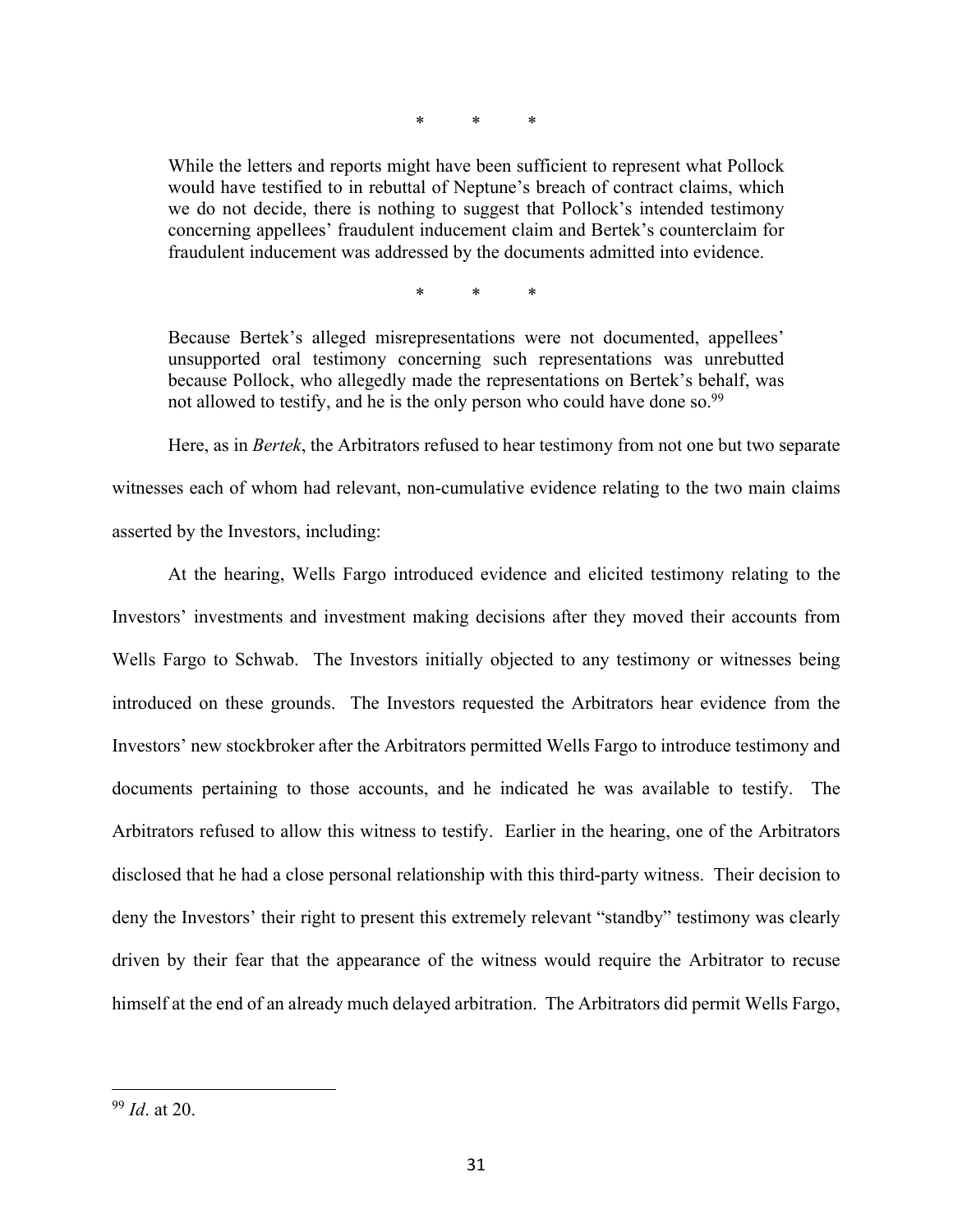\* \* \*

While the letters and reports might have been sufficient to represent what Pollock would have testified to in rebuttal of Neptune's breach of contract claims, which we do not decide, there is nothing to suggest that Pollock's intended testimony concerning appellees' fraudulent inducement claim and Bertek's counterclaim for fraudulent inducement was addressed by the documents admitted into evidence.

\* \* \*

Because Bertek's alleged misrepresentations were not documented, appellees' unsupported oral testimony concerning such representations was unrebutted because Pollock, who allegedly made the representations on Bertek's behalf, was not allowed to testify, and he is the only person who could have done so.<sup>99</sup>

 Here, as in *Bertek*, the Arbitrators refused to hear testimony from not one but two separate witnesses each of whom had relevant, non-cumulative evidence relating to the two main claims asserted by the Investors, including:

At the hearing, Wells Fargo introduced evidence and elicited testimony relating to the Investors' investments and investment making decisions after they moved their accounts from Wells Fargo to Schwab. The Investors initially objected to any testimony or witnesses being introduced on these grounds. The Investors requested the Arbitrators hear evidence from the Investors' new stockbroker after the Arbitrators permitted Wells Fargo to introduce testimony and documents pertaining to those accounts, and he indicated he was available to testify. The Arbitrators refused to allow this witness to testify. Earlier in the hearing, one of the Arbitrators disclosed that he had a close personal relationship with this third-party witness. Their decision to deny the Investors' their right to present this extremely relevant "standby" testimony was clearly driven by their fear that the appearance of the witness would require the Arbitrator to recuse himself at the end of an already much delayed arbitration. The Arbitrators did permit Wells Fargo,

<sup>99</sup> *Id*. at 20.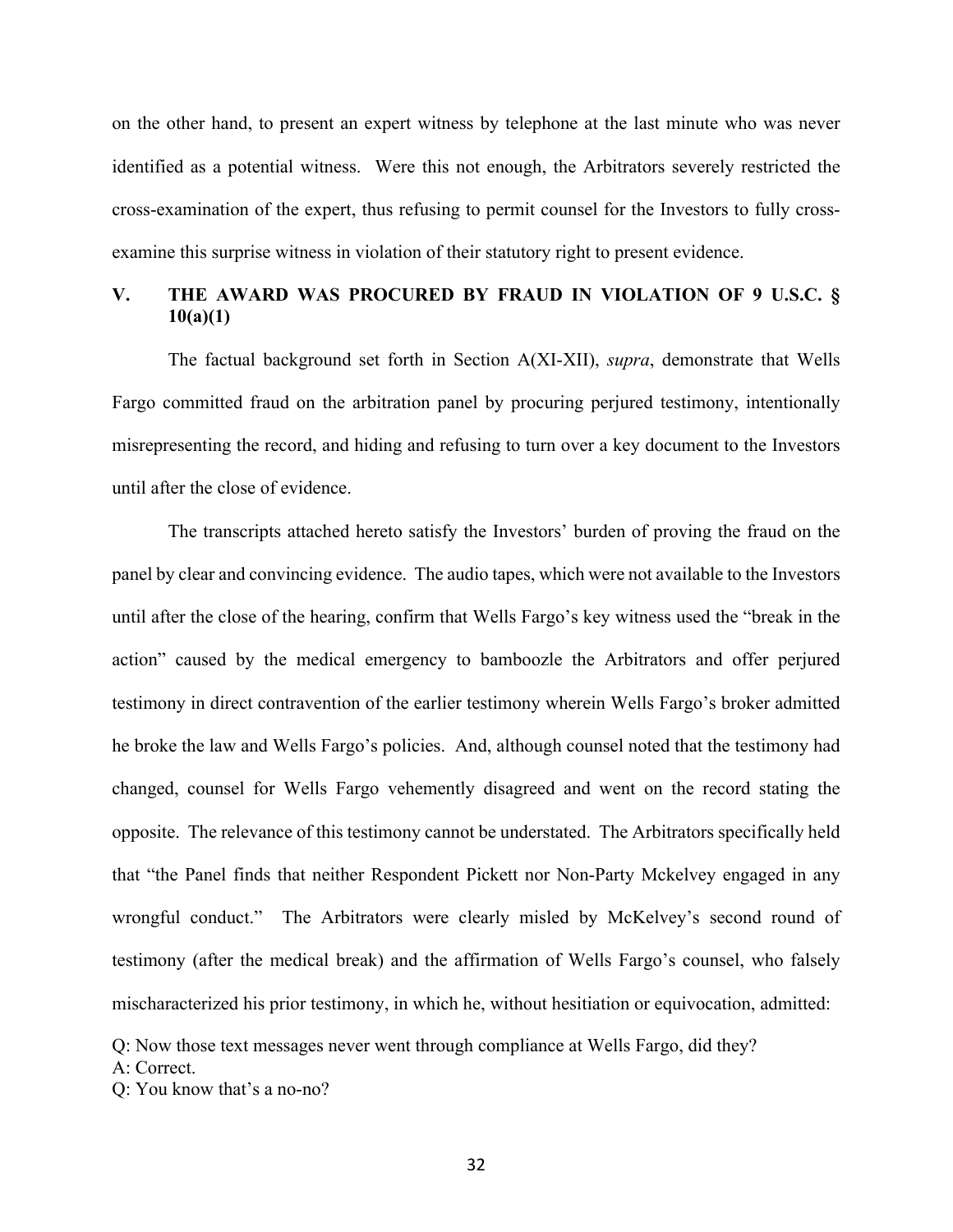on the other hand, to present an expert witness by telephone at the last minute who was never identified as a potential witness. Were this not enough, the Arbitrators severely restricted the cross-examination of the expert, thus refusing to permit counsel for the Investors to fully crossexamine this surprise witness in violation of their statutory right to present evidence.

# **V. THE AWARD WAS PROCURED BY FRAUD IN VIOLATION OF 9 U.S.C. § 10(a)(1)**

The factual background set forth in Section A(XI-XII), *supra*, demonstrate that Wells Fargo committed fraud on the arbitration panel by procuring perjured testimony, intentionally misrepresenting the record, and hiding and refusing to turn over a key document to the Investors until after the close of evidence.

 The transcripts attached hereto satisfy the Investors' burden of proving the fraud on the panel by clear and convincing evidence. The audio tapes, which were not available to the Investors until after the close of the hearing, confirm that Wells Fargo's key witness used the "break in the action" caused by the medical emergency to bamboozle the Arbitrators and offer perjured testimony in direct contravention of the earlier testimony wherein Wells Fargo's broker admitted he broke the law and Wells Fargo's policies. And, although counsel noted that the testimony had changed, counsel for Wells Fargo vehemently disagreed and went on the record stating the opposite. The relevance of this testimony cannot be understated. The Arbitrators specifically held that "the Panel finds that neither Respondent Pickett nor Non-Party Mckelvey engaged in any wrongful conduct." The Arbitrators were clearly misled by McKelvey's second round of testimony (after the medical break) and the affirmation of Wells Fargo's counsel, who falsely mischaracterized his prior testimony, in which he, without hesitiation or equivocation, admitted:

Q: Now those text messages never went through compliance at Wells Fargo, did they? A: Correct.

Q: You know that's a no-no?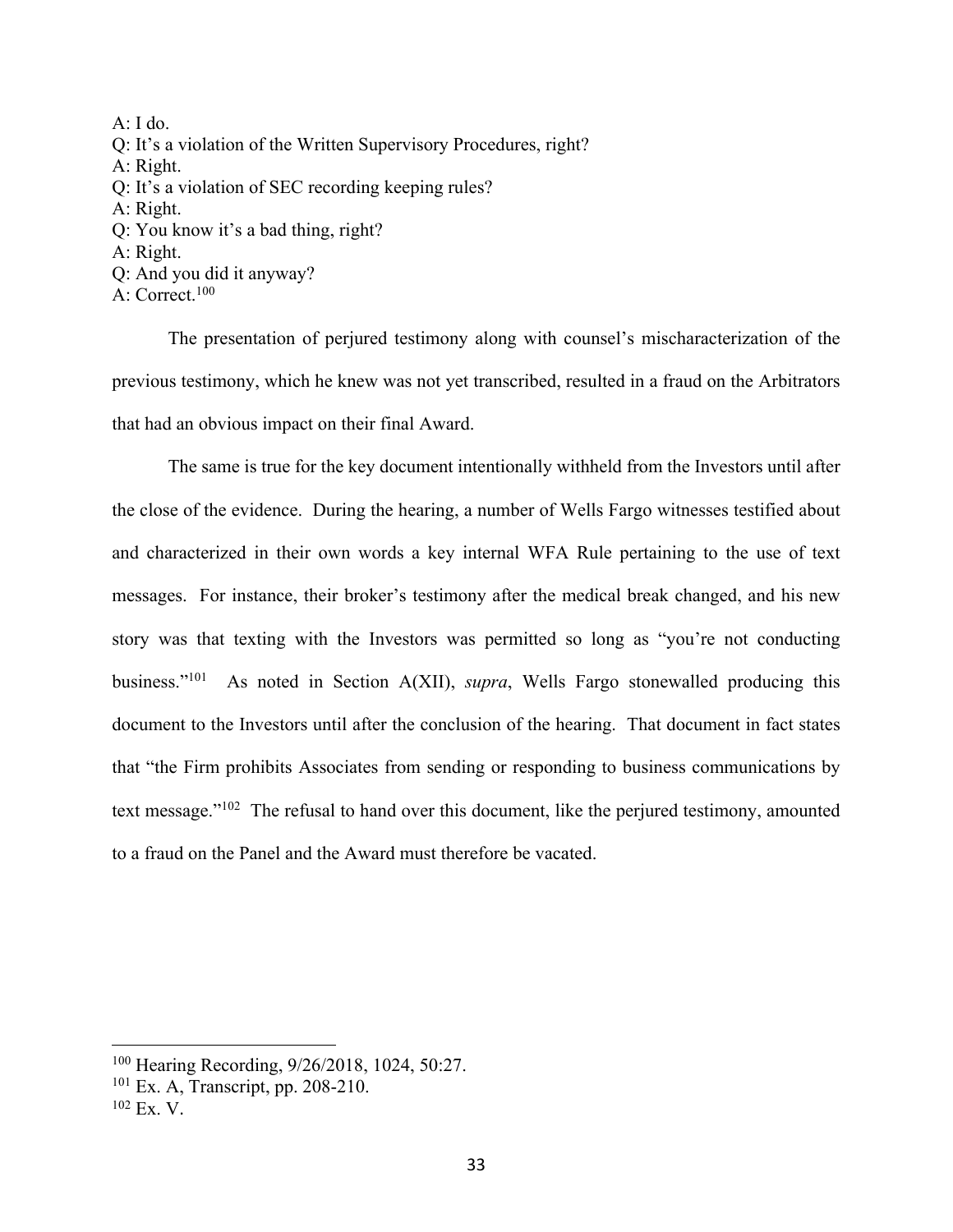$A: I$  do. Q: It's a violation of the Written Supervisory Procedures, right? A: Right. Q: It's a violation of SEC recording keeping rules? A: Right. Q: You know it's a bad thing, right? A: Right. Q: And you did it anyway?

A: Correct.100

 The presentation of perjured testimony along with counsel's mischaracterization of the previous testimony, which he knew was not yet transcribed, resulted in a fraud on the Arbitrators that had an obvious impact on their final Award.

 The same is true for the key document intentionally withheld from the Investors until after the close of the evidence. During the hearing, a number of Wells Fargo witnesses testified about and characterized in their own words a key internal WFA Rule pertaining to the use of text messages. For instance, their broker's testimony after the medical break changed, and his new story was that texting with the Investors was permitted so long as "you're not conducting business."101 As noted in Section A(XII), *supra*, Wells Fargo stonewalled producing this document to the Investors until after the conclusion of the hearing. That document in fact states that "the Firm prohibits Associates from sending or responding to business communications by text message."102 The refusal to hand over this document, like the perjured testimony, amounted to a fraud on the Panel and the Award must therefore be vacated.

<sup>100</sup> Hearing Recording, 9/26/2018, 1024, 50:27.

 $101$  Ex. A, Transcript, pp. 208-210.

 $102$  Ex. V.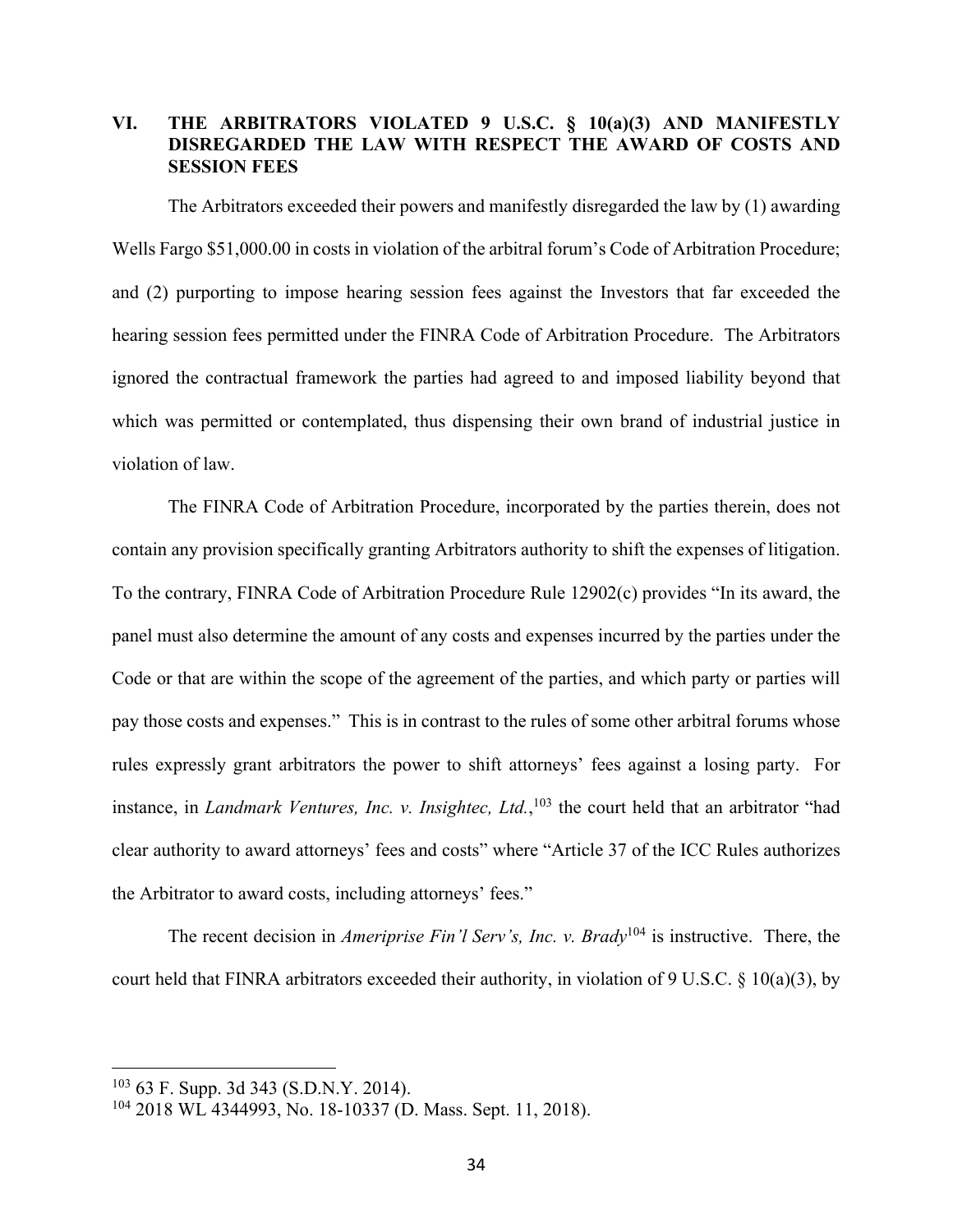# **VI. THE ARBITRATORS VIOLATED 9 U.S.C. § 10(a)(3) AND MANIFESTLY DISREGARDED THE LAW WITH RESPECT THE AWARD OF COSTS AND SESSION FEES**

The Arbitrators exceeded their powers and manifestly disregarded the law by (1) awarding Wells Fargo \$51,000.00 in costs in violation of the arbitral forum's Code of Arbitration Procedure; and (2) purporting to impose hearing session fees against the Investors that far exceeded the hearing session fees permitted under the FINRA Code of Arbitration Procedure. The Arbitrators ignored the contractual framework the parties had agreed to and imposed liability beyond that which was permitted or contemplated, thus dispensing their own brand of industrial justice in violation of law.

The FINRA Code of Arbitration Procedure, incorporated by the parties therein, does not contain any provision specifically granting Arbitrators authority to shift the expenses of litigation. To the contrary, FINRA Code of Arbitration Procedure Rule 12902(c) provides "In its award, the panel must also determine the amount of any costs and expenses incurred by the parties under the Code or that are within the scope of the agreement of the parties, and which party or parties will pay those costs and expenses." This is in contrast to the rules of some other arbitral forums whose rules expressly grant arbitrators the power to shift attorneys' fees against a losing party. For instance, in *Landmark Ventures, Inc. v. Insightec, Ltd.*, 103 the court held that an arbitrator "had clear authority to award attorneys' fees and costs" where "Article 37 of the ICC Rules authorizes the Arbitrator to award costs, including attorneys' fees."

The recent decision in *Ameriprise Fin'l Serv's, Inc. v. Brady*104 is instructive. There, the court held that FINRA arbitrators exceeded their authority, in violation of 9 U.S.C. § 10(a)(3), by

<sup>103 63</sup> F. Supp. 3d 343 (S.D.N.Y. 2014).

<sup>104 2018</sup> WL 4344993, No. 18-10337 (D. Mass. Sept. 11, 2018).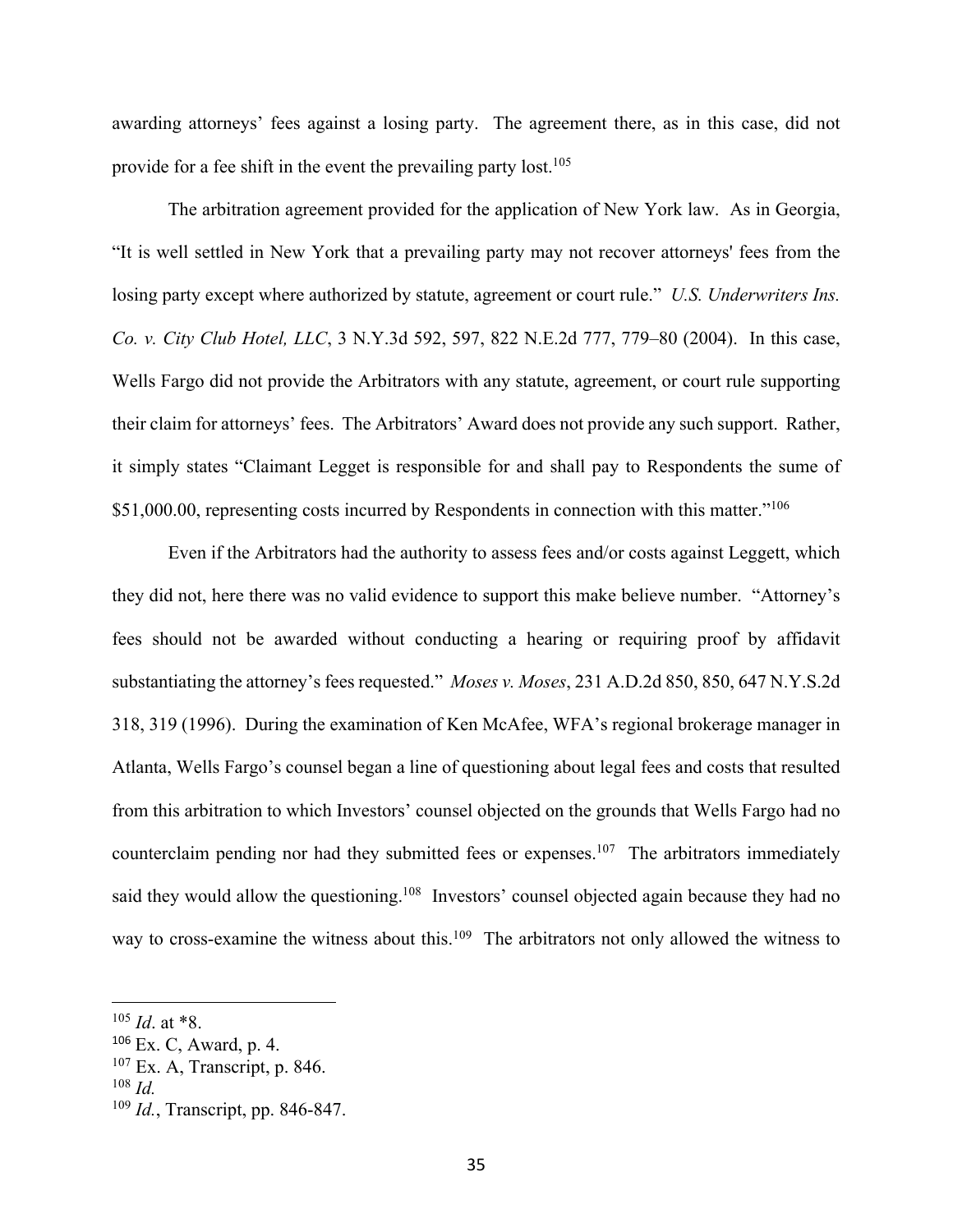awarding attorneys' fees against a losing party. The agreement there, as in this case, did not provide for a fee shift in the event the prevailing party lost.<sup>105</sup>

The arbitration agreement provided for the application of New York law. As in Georgia, "It is well settled in New York that a prevailing party may not recover attorneys' fees from the losing party except where authorized by statute, agreement or court rule." *U.S. Underwriters Ins. Co. v. City Club Hotel, LLC*, 3 N.Y.3d 592, 597, 822 N.E.2d 777, 779–80 (2004). In this case, Wells Fargo did not provide the Arbitrators with any statute, agreement, or court rule supporting their claim for attorneys' fees. The Arbitrators' Award does not provide any such support. Rather, it simply states "Claimant Legget is responsible for and shall pay to Respondents the sume of \$51,000.00, representing costs incurred by Respondents in connection with this matter."<sup>106</sup>

 Even if the Arbitrators had the authority to assess fees and/or costs against Leggett, which they did not, here there was no valid evidence to support this make believe number. "Attorney's fees should not be awarded without conducting a hearing or requiring proof by affidavit substantiating the attorney's fees requested." *Moses v. Moses*, 231 A.D.2d 850, 850, 647 N.Y.S.2d 318, 319 (1996). During the examination of Ken McAfee, WFA's regional brokerage manager in Atlanta, Wells Fargo's counsel began a line of questioning about legal fees and costs that resulted from this arbitration to which Investors' counsel objected on the grounds that Wells Fargo had no counterclaim pending nor had they submitted fees or expenses.<sup>107</sup> The arbitrators immediately said they would allow the questioning.<sup>108</sup> Investors' counsel objected again because they had no way to cross-examine the witness about this.<sup>109</sup> The arbitrators not only allowed the witness to

<sup>105</sup> *Id*. at \*8.

<sup>106</sup> Ex. C, Award, p. 4.

 $107$  Ex. A, Transcript, p. 846.

<sup>108</sup> *Id.*

<sup>109</sup> *Id.*, Transcript, pp. 846-847.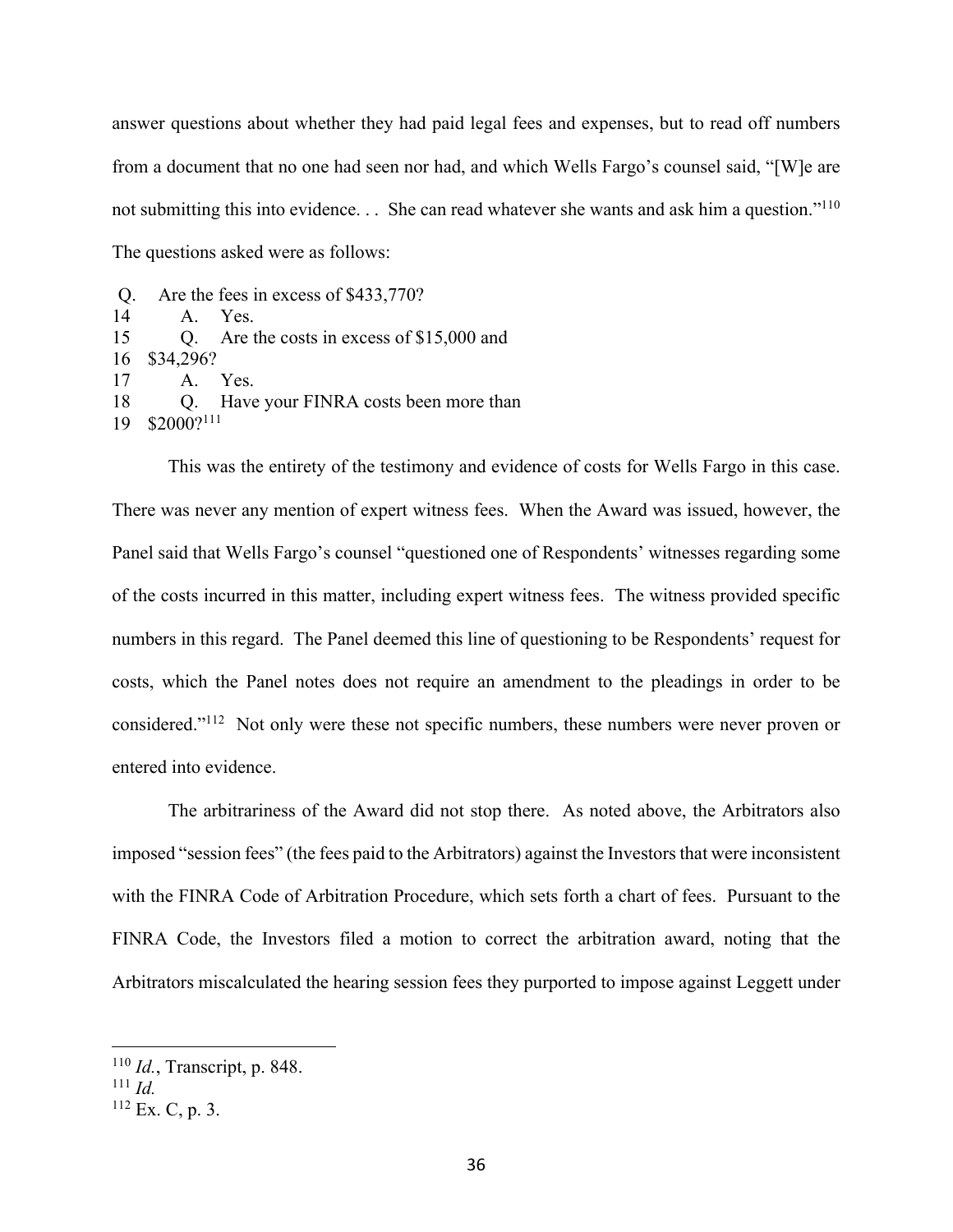answer questions about whether they had paid legal fees and expenses, but to read off numbers from a document that no one had seen nor had, and which Wells Fargo's counsel said, "[W]e are not submitting this into evidence... She can read whatever she wants and ask him a question."<sup>110</sup> The questions asked were as follows:

Q. Are the fees in excess of \$433,770?  $14$  A. Yes. 15 • O. Are the costs in excess of \$15,000 and 16 \$34,296? 17· · · · ·A.· · Yes. 18 • O. Have your FINRA costs been more than 19 \$2000?<sup>111</sup>

This was the entirety of the testimony and evidence of costs for Wells Fargo in this case. There was never any mention of expert witness fees. When the Award was issued, however, the Panel said that Wells Fargo's counsel "questioned one of Respondents' witnesses regarding some of the costs incurred in this matter, including expert witness fees. The witness provided specific numbers in this regard. The Panel deemed this line of questioning to be Respondents' request for costs, which the Panel notes does not require an amendment to the pleadings in order to be considered."112 Not only were these not specific numbers, these numbers were never proven or entered into evidence.

The arbitrariness of the Award did not stop there. As noted above, the Arbitrators also imposed "session fees" (the fees paid to the Arbitrators) against the Investors that were inconsistent with the FINRA Code of Arbitration Procedure, which sets forth a chart of fees. Pursuant to the FINRA Code, the Investors filed a motion to correct the arbitration award, noting that the Arbitrators miscalculated the hearing session fees they purported to impose against Leggett under

<sup>110</sup> *Id.*, Transcript, p. 848.

<sup>111</sup> *Id.*

 $112$  Ex. C, p. 3.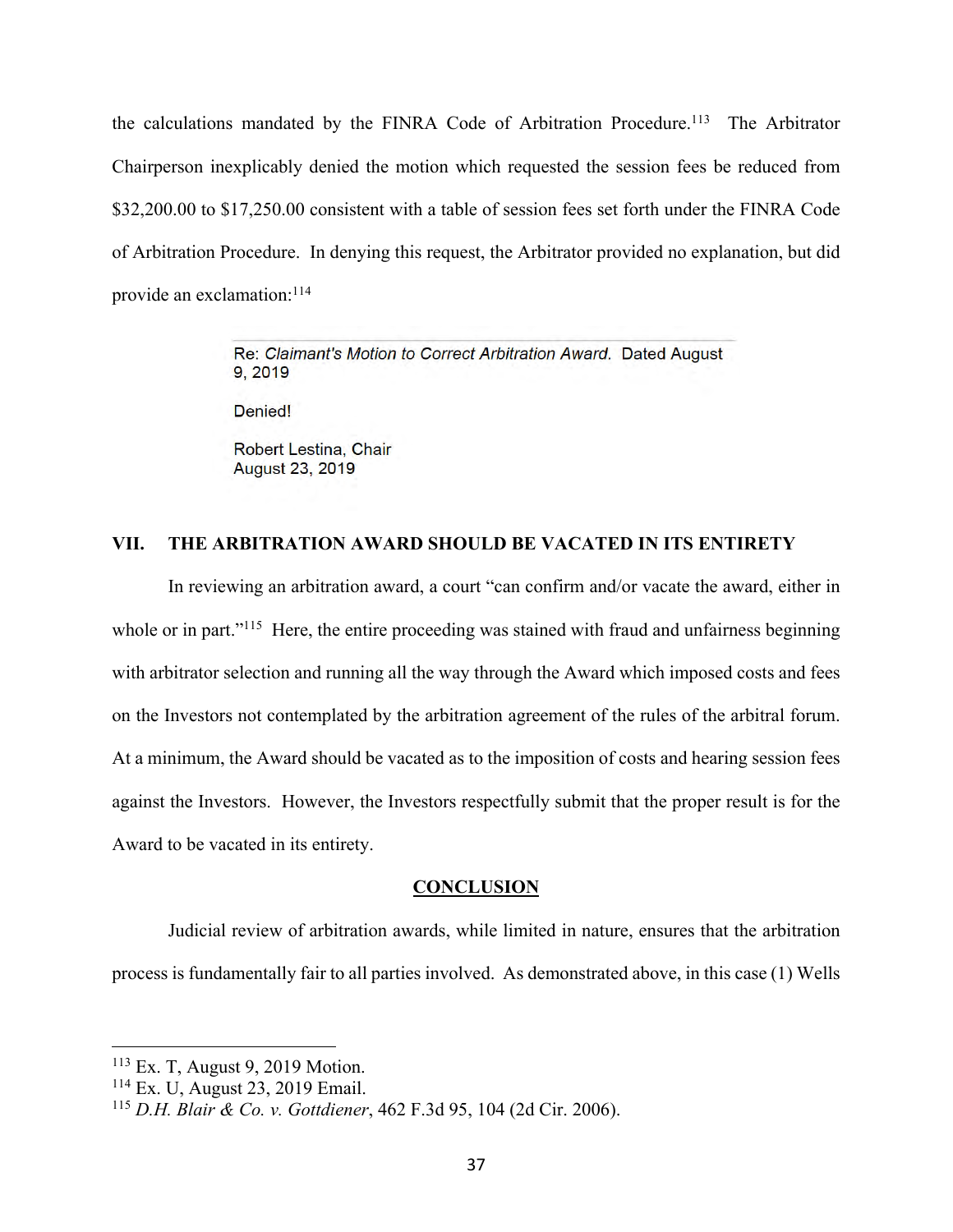the calculations mandated by the FINRA Code of Arbitration Procedure.<sup>113</sup> The Arbitrator Chairperson inexplicably denied the motion which requested the session fees be reduced from \$32,200.00 to \$17,250.00 consistent with a table of session fees set forth under the FINRA Code of Arbitration Procedure. In denying this request, the Arbitrator provided no explanation, but did provide an exclamation:114

> Re: Claimant's Motion to Correct Arbitration Award. Dated August 9.2019

Denied!

Robert Lestina, Chair **August 23, 2019** 

#### **VII. THE ARBITRATION AWARD SHOULD BE VACATED IN ITS ENTIRETY**

In reviewing an arbitration award, a court "can confirm and/or vacate the award, either in whole or in part."<sup>115</sup> Here, the entire proceeding was stained with fraud and unfairness beginning with arbitrator selection and running all the way through the Award which imposed costs and fees on the Investors not contemplated by the arbitration agreement of the rules of the arbitral forum. At a minimum, the Award should be vacated as to the imposition of costs and hearing session fees against the Investors. However, the Investors respectfully submit that the proper result is for the Award to be vacated in its entirety.

#### **CONCLUSION**

Judicial review of arbitration awards, while limited in nature, ensures that the arbitration process is fundamentally fair to all parties involved. As demonstrated above, in this case (1) Wells

<sup>113</sup> Ex. T, August 9, 2019 Motion.

<sup>114</sup> Ex. U, August 23, 2019 Email.

<sup>115</sup> *D.H. Blair & Co. v. Gottdiener*, 462 F.3d 95, 104 (2d Cir. 2006).